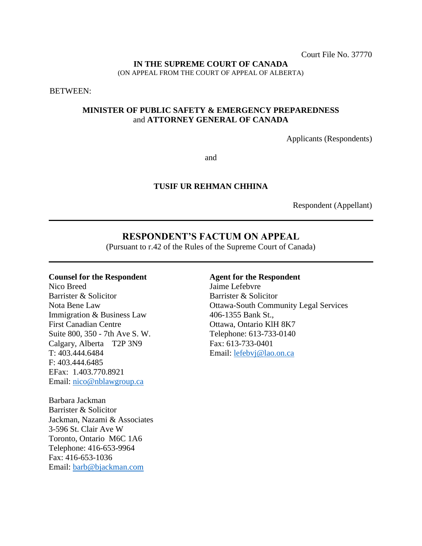Court File No. 37770

#### **IN THE SUPREME COURT OF CANADA**

(ON APPEAL FROM THE COURT OF APPEAL OF ALBERTA)

BETWEEN:

## **MINISTER OF PUBLIC SAFETY & EMERGENCY PREPAREDNESS** and **ATTORNEY GENERAL OF CANADA**

Applicants (Respondents)

and

### **TUSIF UR REHMAN CHHINA**

Respondent (Appellant)

# **RESPONDENT'S FACTUM ON APPEAL**

(Pursuant to r.42 of the Rules of the Supreme Court of Canada)

#### **Counsel for the Respondent**

Nico Breed Barrister & Solicitor Nota Bene Law Immigration & Business Law First Canadian Centre Suite 800, 350 - 7th Ave S. W. Calgary, Alberta T2P 3N9 T: 403.444.6484 F: 403.444.6485 EFax: 1.403.770.8921 Email: [nico@nblawgroup.ca](mailto:nico@nblawgroup.ca)

Barbara Jackman Barrister & Solicitor Jackman, Nazami & Associates 3-596 St. Clair Ave W Toronto, Ontario M6C 1A6 Telephone: 416-653-9964 Fax: 416-653-1036 Email: [barb@bjackman.com](mailto:barb@bjackman.com) 

### **Agent for the Respondent**

Jaime Lefebvre Barrister & Solicitor Ottawa-South Community Legal Services 406-1355 Bank St., Ottawa, Ontario KlH 8K7 Telephone: 613-733-0140 Fax: 613-733-0401 Email: [lefebvj@lao.on.ca](mailto:lefebvj@lao.on.ca)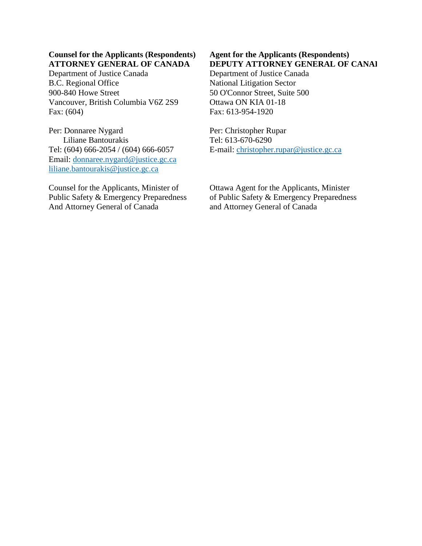## **Counsel for the Applicants (Respondents) ATTORNEY GENERAL OF CANADA**

Department of Justice Canada B.C. Regional Office 900-840 Howe Street Vancouver, British Columbia V6Z 2S9 Fax: (604)

Per: Donnaree Nygard Liliane Bantourakis Tel: (604) 666-2054 / (604) 666-6057 Email: [donnaree.nygard@justice.gc.ca](mailto:donnaree.nygard@justice.gc.ca) [liliane.bantourakis@justice.gc.ca](mailto:liliane.bantourakis@justice.gc.ca)

Counsel for the Applicants, Minister of Public Safety & Emergency Preparedness And Attorney General of Canada

## **Agent for the Applicants (Respondents) DEPUTY ATTORNEY GENERAL OF CANAL**

Department of Justice Canada National Litigation Sector 50 O'Connor Street, Suite 500 Ottawa ON KIA 01-18 Fax: 613-954-1920

Per: Christopher Rupar Tel: 613-670-6290 E-mail: [christopher.rupar@justice.gc.ca](mailto:christopher.rupar@justice.gc.ca)

Ottawa Agent for the Applicants, Minister of Public Safety & Emergency Preparedness and Attorney General of Canada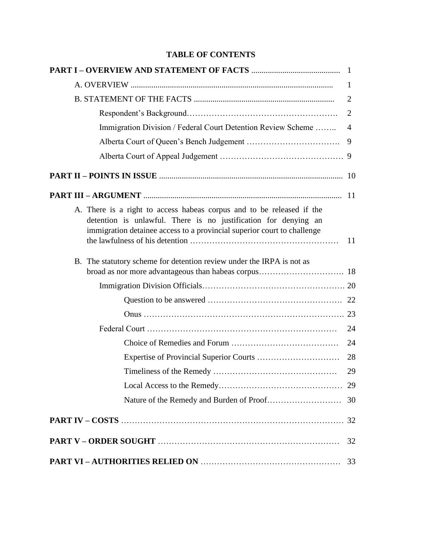# **TABLE OF CONTENTS**

|                                                                                                                                                                                                                     | 1              |
|---------------------------------------------------------------------------------------------------------------------------------------------------------------------------------------------------------------------|----------------|
|                                                                                                                                                                                                                     | 2              |
|                                                                                                                                                                                                                     | 2              |
| Immigration Division / Federal Court Detention Review Scheme                                                                                                                                                        | $\overline{4}$ |
|                                                                                                                                                                                                                     |                |
|                                                                                                                                                                                                                     |                |
|                                                                                                                                                                                                                     |                |
|                                                                                                                                                                                                                     |                |
| A. There is a right to access habeas corpus and to be released if the<br>detention is unlawful. There is no justification for denying an<br>immigration detainee access to a provincial superior court to challenge |                |
| B. The statutory scheme for detention review under the IRPA is not as                                                                                                                                               |                |
|                                                                                                                                                                                                                     |                |
|                                                                                                                                                                                                                     |                |
|                                                                                                                                                                                                                     |                |
|                                                                                                                                                                                                                     | 24             |
|                                                                                                                                                                                                                     | 24             |
|                                                                                                                                                                                                                     | 28             |
|                                                                                                                                                                                                                     | 29             |
|                                                                                                                                                                                                                     |                |
|                                                                                                                                                                                                                     |                |
|                                                                                                                                                                                                                     |                |
|                                                                                                                                                                                                                     | 32             |
|                                                                                                                                                                                                                     |                |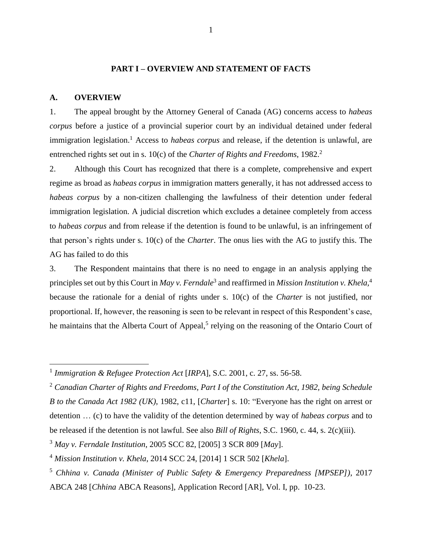## **PART I – OVERVIEW AND STATEMENT OF FACTS**

#### **A. OVERVIEW**

 $\overline{a}$ 

1. The appeal brought by the Attorney General of Canada (AG) concerns access to *habeas corpus* before a justice of a provincial superior court by an individual detained under federal immigration legislation.<sup>1</sup> Access to *habeas corpus* and release, if the detention is unlawful, are entrenched rights set out in s. 10(c) of the *Charter of Rights and Freedoms*, 1982.<sup>2</sup>

2. Although this Court has recognized that there is a complete, comprehensive and expert regime as broad as *habeas corpus* in immigration matters generally, it has not addressed access to *habeas corpus* by a non-citizen challenging the lawfulness of their detention under federal immigration legislation. A judicial discretion which excludes a detainee completely from access to *habeas corpus* and from release if the detention is found to be unlawful, is an infringement of that person's rights under s. 10(c) of the *Charter*. The onus lies with the AG to justify this. The AG has failed to do this

3. The Respondent maintains that there is no need to engage in an analysis applying the principles set out by this Court in *May v. Ferndale*<sup>3</sup> and reaffirmed in *Mission Institution v. Khela,* 4 because the rationale for a denial of rights under s. 10(c) of the *Charter* is not justified, nor proportional. If, however, the reasoning is seen to be relevant in respect of this Respondent's case, he maintains that the Alberta Court of Appeal,<sup>5</sup> relying on the reasoning of the Ontario Court of

<sup>1</sup> *Immigration & Refugee Protection Act* [*IRPA*], S.C. 2001, c. 27, ss. 56-58.

<sup>2</sup> *Canadian Charter of Rights and Freedoms, Part I of the Constitution Act, 1982, being Schedule B to the Canada Act 1982 (UK)*, 1982, c11, [*Charter*] s. 10: "Everyone has the right on arrest or detention … (c) to have the validity of the detention determined by way of *habeas corpus* and to be released if the detention is not lawful. See also *Bill of Rights*, S.C. 1960, c. 44, s. 2(c)(iii).

<sup>3</sup> *May v. Ferndale Institution*, 2005 SCC 82, [2005] 3 SCR 809 [*May*].

<sup>4</sup> *Mission Institution v. Khela*, 2014 SCC 24, [2014] 1 SCR 502 [*Khela*].

<sup>5</sup> *Chhina v. Canada (Minister of Public Safety & Emergency Preparedness [MPSEP])*, 2017 ABCA 248 [*Chhina* ABCA Reasons], Application Record [AR], Vol. I, pp. 10-23.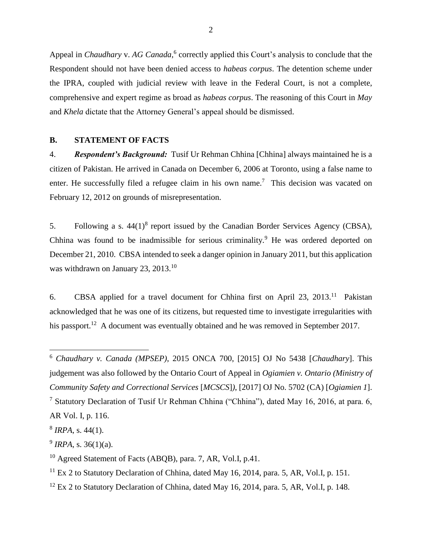Appeal in *Chaudhary v. AG Canada*,<sup>6</sup> correctly applied this Court's analysis to conclude that the Respondent should not have been denied access to *habeas corpus*. The detention scheme under the IPRA, coupled with judicial review with leave in the Federal Court, is not a complete, comprehensive and expert regime as broad as *habeas corpus*. The reasoning of this Court in *May* and *Khela* dictate that the Attorney General's appeal should be dismissed.

## **B. STATEMENT OF FACTS**

4. *Respondent's Background:* Tusif Ur Rehman Chhina [Chhina] always maintained he is a citizen of Pakistan. He arrived in Canada on December 6, 2006 at Toronto, using a false name to enter. He successfully filed a refugee claim in his own name.<sup>7</sup> This decision was vacated on February 12, 2012 on grounds of misrepresentation.

5. Following a s.  $44(1)^8$  report issued by the Canadian Border Services Agency (CBSA), Chhina was found to be inadmissible for serious criminality.<sup>9</sup> He was ordered deported on December 21, 2010. CBSA intended to seek a danger opinion in January 2011, but this application was withdrawn on January 23, 2013.<sup>10</sup>

6. CBSA applied for a travel document for Chhina first on April 23, 2013.<sup>11</sup> Pakistan acknowledged that he was one of its citizens, but requested time to investigate irregularities with his passport.<sup>12</sup> A document was eventually obtained and he was removed in September 2017.

<sup>6</sup> *Chaudhary v. Canada (MPSEP)*, 2015 ONCA 700, [2015] OJ No 5438 [*Chaudhary*]. This judgement was also followed by the Ontario Court of Appeal in *Ogiamien v. Ontario (Ministry of Community Safety and Correctional Services* [*MCSCS*]*)*, [2017] OJ No. 5702 (CA) [*Ogiamien 1*].

<sup>7</sup> Statutory Declaration of Tusif Ur Rehman Chhina ("Chhina"), dated May 16, 2016, at para. 6, AR Vol. I, p. 116.

<sup>8</sup> *IRPA*, s. 44(1).

<sup>9</sup> *IRPA*, s. 36(1)(a).

<sup>&</sup>lt;sup>10</sup> Agreed Statement of Facts (ABQB), para. 7, AR, Vol.I, p.41.

 $11$  Ex 2 to Statutory Declaration of Chhina, dated May 16, 2014, para. 5, AR, Vol.I, p. 151.

 $12$  Ex 2 to Statutory Declaration of Chhina, dated May 16, 2014, para. 5, AR, Vol.I, p. 148.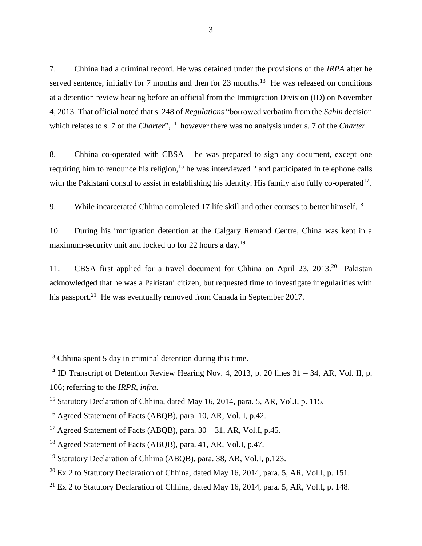7. Chhina had a criminal record. He was detained under the provisions of the *IRPA* after he served sentence, initially for 7 months and then for  $23$  months.<sup>13</sup> He was released on conditions at a detention review hearing before an official from the Immigration Division (ID) on November 4, 2013. That official noted that s. 248 of *Regulations* "borrowed verbatim from the *Sahin* decision which relates to s. 7 of the *Charter*",<sup>14</sup> however there was no analysis under s. 7 of the *Charter*.

8. Chhina co-operated with CBSA – he was prepared to sign any document, except one requiring him to renounce his religion,<sup>15</sup> he was interviewed<sup>16</sup> and participated in telephone calls with the Pakistani consul to assist in establishing his identity. His family also fully co-operated<sup>17</sup>.

9. While incarcerated Chhina completed 17 life skill and other courses to better himself.<sup>18</sup>

10. During his immigration detention at the Calgary Remand Centre, China was kept in a maximum-security unit and locked up for 22 hours a day.<sup>19</sup>

11. CBSA first applied for a travel document for Chhina on April 23, 2013.<sup>20</sup> Pakistan acknowledged that he was a Pakistani citizen, but requested time to investigate irregularities with his passport.<sup>21</sup> He was eventually removed from Canada in September 2017.

 $13$  Chhina spent 5 day in criminal detention during this time.

<sup>&</sup>lt;sup>14</sup> ID Transcript of Detention Review Hearing Nov. 4, 2013, p. 20 lines  $31 - 34$ , AR, Vol. II, p. 106; referring to the *IRPR*, *infra*.

<sup>15</sup> Statutory Declaration of Chhina, dated May 16, 2014, para. 5, AR, Vol.I, p. 115.

<sup>16</sup> Agreed Statement of Facts (ABQB), para. 10, AR, Vol. I, p.42.

<sup>&</sup>lt;sup>17</sup> Agreed Statement of Facts (ABQB), para.  $30 - 31$ , AR, Vol.I, p.45.

<sup>18</sup> Agreed Statement of Facts (ABQB), para. 41, AR, Vol.I, p.47.

<sup>&</sup>lt;sup>19</sup> Statutory Declaration of Chhina (ABQB), para. 38, AR, Vol.I, p.123.

 $^{20}$  Ex 2 to Statutory Declaration of Chhina, dated May 16, 2014, para. 5, AR, Vol.I, p. 151.

<sup>&</sup>lt;sup>21</sup> Ex 2 to Statutory Declaration of Chhina, dated May 16, 2014, para. 5, AR, Vol.I, p. 148.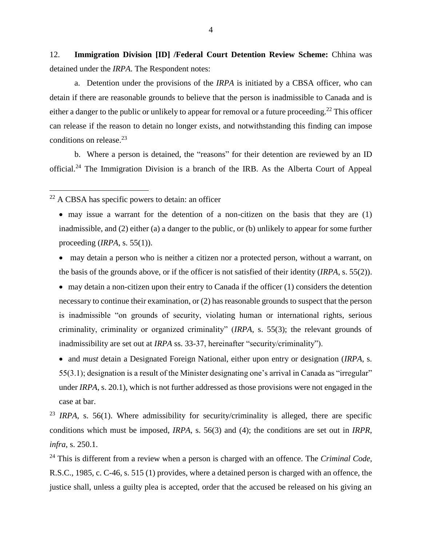12. **Immigration Division [ID] /Federal Court Detention Review Scheme:** Chhina was detained under the *IRPA*. The Respondent notes:

a. Detention under the provisions of the *IRPA* is initiated by a CBSA officer, who can detain if there are reasonable grounds to believe that the person is inadmissible to Canada and is either a danger to the public or unlikely to appear for removal or a future proceeding.<sup>22</sup> This officer can release if the reason to detain no longer exists, and notwithstanding this finding can impose conditions on release. 23

b. Where a person is detained, the "reasons" for their detention are reviewed by an ID official.<sup>24</sup> The Immigration Division is a branch of the IRB. As the Alberta Court of Appeal

 $22$  A CBSA has specific powers to detain: an officer

 $\overline{a}$ 

• may issue a warrant for the detention of a non-citizen on the basis that they are (1) inadmissible, and (2) either (a) a danger to the public, or (b) unlikely to appear for some further proceeding (*IRPA*, s. 55(1)).

• may detain a person who is neither a citizen nor a protected person, without a warrant, on the basis of the grounds above, or if the officer is not satisfied of their identity (*IRPA*, s. 55(2)).

 $\bullet$  may detain a non-citizen upon their entry to Canada if the officer (1) considers the detention necessary to continue their examination, or (2) has reasonable grounds to suspect that the person is inadmissible "on grounds of security, violating human or international rights, serious criminality, criminality or organized criminality" (*IRPA*, s. 55(3); the relevant grounds of inadmissibility are set out at *IRPA* ss. 33-37, hereinafter "security/criminality").

• and *must* detain a Designated Foreign National, either upon entry or designation (*IRPA*, s. 55(3.1); designation is a result of the Minister designating one's arrival in Canada as "irregular" under *IRPA*, s. 20.1), which is not further addressed as those provisions were not engaged in the case at bar.

<sup>23</sup> *IRPA*, s. 56(1). Where admissibility for security/criminality is alleged, there are specific conditions which must be imposed, *IRPA*, s. 56(3) and (4); the conditions are set out in *IRPR*, *infra*, s. 250.1.

<sup>24</sup> This is different from a review when a person is charged with an offence. The *Criminal Code*, R.S.C., 1985, c. C-46, s. 515 (1) provides, where a detained person is charged with an offence, the justice shall, unless a guilty plea is accepted, order that the accused be released on his giving an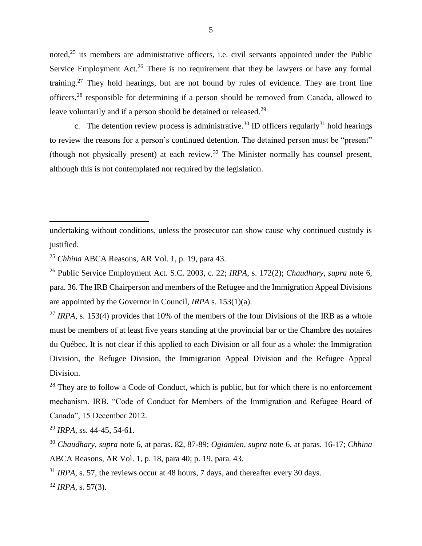noted,<sup>25</sup> its members are administrative officers, i.e. civil servants appointed under the Public Service Employment Act.<sup>26</sup> There is no requirement that they be lawyers or have any formal training.<sup>27</sup> They hold hearings, but are not bound by rules of evidence. They are front line officers,<sup>28</sup> responsible for determining if a person should be removed from Canada, allowed to leave voluntarily and if a person should be detained or released.<sup>29</sup>

c. The detention review process is administrative.<sup>30</sup> ID officers regularly<sup>31</sup> hold hearings to review the reasons for a person's continued detention. The detained person must be "present" (though not physically present) at each review.<sup>32</sup> The Minister normally has counsel present, although this is not contemplated nor required by the legislation.

undertaking without conditions, unless the prosecutor can show cause why continued custody is justified.

<sup>25</sup> *Chhina* ABCA Reasons, AR Vol. 1, p. 19, para 43.

<sup>26</sup> Public Service Employment Act. S.C. 2003, c. 22; *IRPA*, s. 172(2); *Chaudhary*, *supra* note 6, para. 36. The IRB Chairperson and members of the Refugee and the Immigration Appeal Divisions are appointed by the Governor in Council, *IRPA* s. 153(1)(a).

<sup>27</sup> *IRPA*, s. 153(4) provides that 10% of the members of the four Divisions of the IRB as a whole must be members of at least five years standing at the provincial bar or the Chambre des notaires du Québec. It is not clear if this applied to each Division or all four as a whole: the Immigration Division, the Refugee Division, the Immigration Appeal Division and the Refugee Appeal Division.

 $28$  They are to follow a Code of Conduct, which is public, but for which there is no enforcement mechanism. IRB, "Code of Conduct for Members of the Immigration and Refugee Board of Canada", 15 December 2012.

<sup>29</sup> *IRPA*, ss. 44-45, 54-61.

<sup>30</sup> *Chaudhary*, *supra* note 6, at paras. 82, 87-89; *Ogiamien*, *supra* note 6, at paras. 16-17; *Chhina* ABCA Reasons, AR Vol. 1, p. 18, para 40; p. 19, para. 43.

<sup>31</sup> *IRPA*, s. 57, the reviews occur at 48 hours, 7 days, and thereafter every 30 days.

<sup>32</sup> *IRPA*, s. 57(3).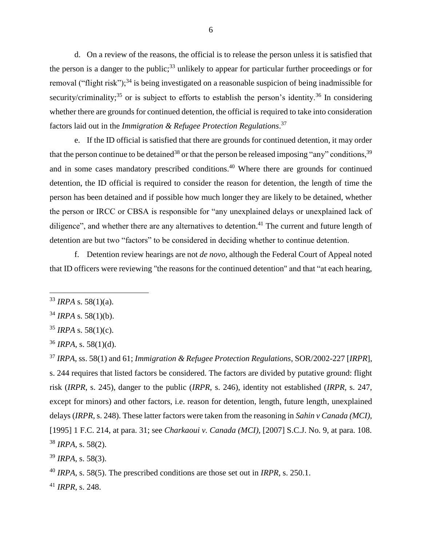d. On a review of the reasons, the official is to release the person unless it is satisfied that the person is a danger to the public;<sup>33</sup> unlikely to appear for particular further proceedings or for removal ("flight risk");<sup>34</sup> is being investigated on a reasonable suspicion of being inadmissible for security/criminality;<sup>35</sup> or is subject to efforts to establish the person's identity.<sup>36</sup> In considering whether there are grounds for continued detention, the official is required to take into consideration factors laid out in the *Immigration & Refugee Protection Regulations*. 37

e. If the ID official is satisfied that there are grounds for continued detention, it may order that the person continue to be detained<sup>38</sup> or that the person be released imposing "any" conditions,  $39$ and in some cases mandatory prescribed conditions.<sup>40</sup> Where there are grounds for continued detention, the ID official is required to consider the reason for detention, the length of time the person has been detained and if possible how much longer they are likely to be detained, whether the person or IRCC or CBSA is responsible for "any unexplained delays or unexplained lack of diligence", and whether there are any alternatives to detention.<sup>41</sup> The current and future length of detention are but two "factors" to be considered in deciding whether to continue detention.

f. Detention review hearings are not *de novo*, although the Federal Court of Appeal noted that ID officers were reviewing "the reasons for the continued detention" and that "at each hearing,

<sup>33</sup> *IRPA* s. 58(1)(a).

 $34$  *IRPA* s. 58(1)(b).

 $35$  *IRPA* s. 58(1)(c).

<sup>36</sup> *IRPA*, s. 58(1)(d).

<sup>37</sup> *IRPA*, ss. 58(1) and 61; *Immigration & Refugee Protection Regulations*, SOR/2002-227 [*IRPR*], s. 244 requires that listed factors be considered. The factors are divided by putative ground: flight risk (*IRPR*, s. 245), danger to the public (*IRPR*, s. 246), identity not established (*IRPR*, s. 247, except for minors) and other factors, i.e. reason for detention, length, future length, unexplained delays (*IRPR,* s. 248). These latter factors were taken from the reasoning in *Sahin v Canada (MCI),* [1995] 1 F.C. 214, at para. 31; see *Charkaoui v. Canada (MCI),* [2007] S.C.J. No. 9, at para. 108. <sup>38</sup> *IRPA*, s. 58(2).

<sup>39</sup> *IRPA*, s. 58(3).

<sup>40</sup> *IRPA*, s. 58(5). The prescribed conditions are those set out in *IRPR,* s. 250.1.

<sup>41</sup> *IRPR*, s. 248.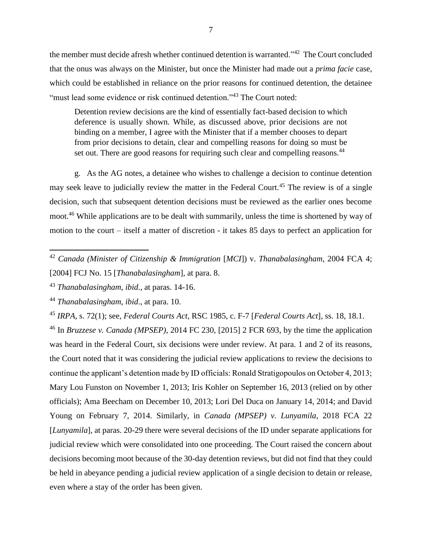the member must decide afresh whether continued detention is warranted."<sup>42</sup> The Court concluded that the onus was always on the Minister, but once the Minister had made out a *prima facie* case, which could be established in reliance on the prior reasons for continued detention, the detainee "must lead some evidence or risk continued detention."<sup>43</sup> The Court noted:

Detention review decisions are the kind of essentially fact-based decision to which deference is usually shown. While, as discussed above, prior decisions are not binding on a member, I agree with the Minister that if a member chooses to depart from prior decisions to detain, clear and compelling reasons for doing so must be set out. There are good reasons for requiring such clear and compelling reasons.<sup>44</sup>

g. As the AG notes, a detainee who wishes to challenge a decision to continue detention may seek leave to judicially review the matter in the Federal Court.<sup>45</sup> The review is of a single decision, such that subsequent detention decisions must be reviewed as the earlier ones become moot.<sup>46</sup> While applications are to be dealt with summarily, unless the time is shortened by way of motion to the court – itself a matter of discretion - it takes 85 days to perfect an application for

<sup>44</sup> *Thanabalasingham*, *ibid*., at para. 10.

 $\overline{a}$ 

<sup>46</sup> In *Bruzzese v. Canada (MPSEP)*, 2014 FC 230, [2015] 2 FCR 693, by the time the application was heard in the Federal Court, six decisions were under review. At para. 1 and 2 of its reasons, the Court noted that it was considering the judicial review applications to review the decisions to continue the applicant's detention made by ID officials: Ronald Stratigopoulos on October 4, 2013; Mary Lou Funston on November 1, 2013; Iris Kohler on September 16, 2013 (relied on by other officials); Ama Beecham on December 10, 2013; Lori Del Duca on January 14, 2014; and David Young on February 7, 2014. Similarly, in *Canada (MPSEP) v. Lunyamila*, 2018 FCA 22 [*Lunyamila*], at paras. 20-29 there were several decisions of the ID under separate applications for judicial review which were consolidated into one proceeding. The Court raised the concern about decisions becoming moot because of the 30-day detention reviews, but did not find that they could be held in abeyance pending a judicial review application of a single decision to detain or release, even where a stay of the order has been given.

<sup>42</sup> *Canada (Minister of Citizenship & Immigration* [*MCI*]) v. *Thanabalasingham*, 2004 FCA 4; [2004] FCJ No. 15 [*Thanabalasingham*], at para. 8.

<sup>43</sup> *Thanabalasingham*, *ibid*., at paras. 14-16.

<sup>45</sup> *IRPA*, s. 72(1); see, *Federal Courts Act*, RSC 1985, c. F-7 [*Federal Courts Act*], ss. 18, 18.1.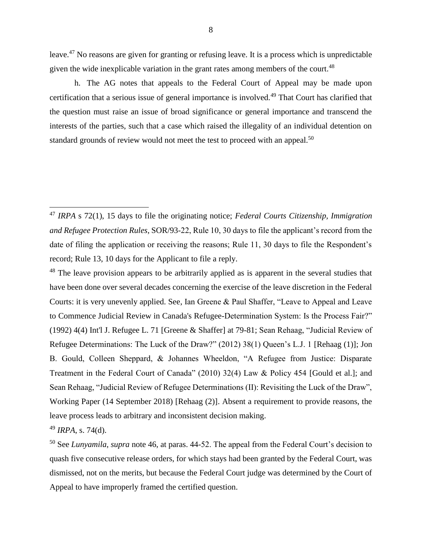leave.<sup>47</sup> No reasons are given for granting or refusing leave. It is a process which is unpredictable given the wide inexplicable variation in the grant rates among members of the court.<sup>48</sup>

h. The AG notes that appeals to the Federal Court of Appeal may be made upon certification that a serious issue of general importance is involved.<sup>49</sup> That Court has clarified that the question must raise an issue of broad significance or general importance and transcend the interests of the parties, such that a case which raised the illegality of an individual detention on standard grounds of review would not meet the test to proceed with an appeal.<sup>50</sup>

<sup>48</sup> The leave provision appears to be arbitrarily applied as is apparent in the several studies that have been done over several decades concerning the exercise of the leave discretion in the Federal Courts: it is very unevenly applied. See, Ian Greene & Paul Shaffer, "Leave to Appeal and Leave to Commence Judicial Review in Canada's Refugee-Determination System: Is the Process Fair?" (1992) 4(4) Int'l J. Refugee L. 71 [Greene & Shaffer] at 79-81; Sean Rehaag, "Judicial Review of Refugee Determinations: The Luck of the Draw?" (2012) 38(1) Queen's L.J. 1 [Rehaag (1)]; Jon B. Gould, Colleen Sheppard, & Johannes Wheeldon, "A Refugee from Justice: Disparate Treatment in the Federal Court of Canada" (2010) 32(4) Law & Policy 454 [Gould et al.]; and Sean Rehaag, "Judicial Review of Refugee Determinations (II): Revisiting the Luck of the Draw", Working Paper (14 September 2018) [Rehaag (2)]. Absent a requirement to provide reasons, the leave process leads to arbitrary and inconsistent decision making.

<sup>49</sup> *IRPA*, s. 74(d).

<sup>47</sup> *IRPA* s 72(1), 15 days to file the originating notice; *Federal Courts Citizenship, Immigration and Refugee Protection Rules*, SOR/93-22, Rule 10, 30 days to file the applicant's record from the date of filing the application or receiving the reasons; Rule 11, 30 days to file the Respondent's record; Rule 13, 10 days for the Applicant to file a reply.

<sup>50</sup> See *Lunyamila*, *supra* note 46, at paras. 44-52. The appeal from the Federal Court's decision to quash five consecutive release orders, for which stays had been granted by the Federal Court, was dismissed, not on the merits, but because the Federal Court judge was determined by the Court of Appeal to have improperly framed the certified question.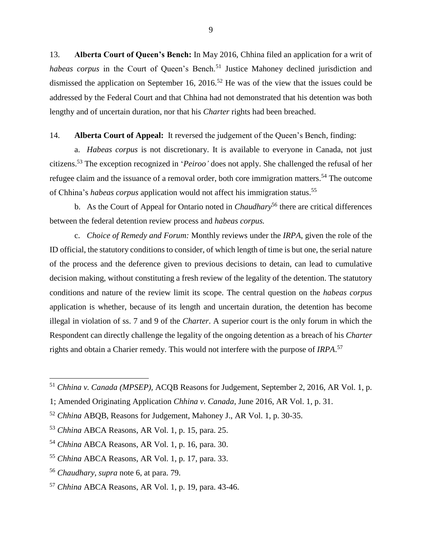13. **Alberta Court of Queen's Bench:** In May 2016, Chhina filed an application for a writ of *habeas corpus* in the Court of Queen's Bench.<sup>51</sup> Justice Mahoney declined jurisdiction and dismissed the application on September 16, 2016.<sup>52</sup> He was of the view that the issues could be addressed by the Federal Court and that Chhina had not demonstrated that his detention was both lengthy and of uncertain duration, nor that his *Charter* rights had been breached.

#### 14. **Alberta Court of Appeal:** It reversed the judgement of the Queen's Bench, finding:

a. *Habeas corpus* is not discretionary. It is available to everyone in Canada, not just citizens. <sup>53</sup> The exception recognized in '*Peiroo'* does not apply. She challenged the refusal of her refugee claim and the issuance of a removal order, both core immigration matters.<sup>54</sup> The outcome of Chhina's *habeas corpus* application would not affect his immigration status. 55

b. As the Court of Appeal for Ontario noted in *Chaudhary*<sup>56</sup> there are critical differences between the federal detention review process and *habeas corpus.*

c. *Choice of Remedy and Forum:* Monthly reviews under the *IRPA*, given the role of the ID official, the statutory conditions to consider, of which length of time is but one, the serial nature of the process and the deference given to previous decisions to detain, can lead to cumulative decision making, without constituting a fresh review of the legality of the detention. The statutory conditions and nature of the review limit its scope. The central question on the *habeas corpus* application is whether, because of its length and uncertain duration, the detention has become illegal in violation of ss. 7 and 9 of the *Charter*. A superior court is the only forum in which the Respondent can directly challenge the legality of the ongoing detention as a breach of his *Charter* rights and obtain a Charier remedy. This would not interfere with the purpose of *IRPA*. 57

<sup>51</sup> *Chhina v. Canada (MPSEP),* ACQB Reasons for Judgement, September 2, 2016, AR Vol. 1, p.

<sup>1;</sup> Amended Originating Application *Chhina v. Canada*, June 2016, AR Vol. 1, p. 31.

<sup>52</sup> *Chhina* ABQB, Reasons for Judgement, Mahoney J., AR Vol. 1, p. 30-35.

<sup>53</sup> *Chhina* ABCA Reasons, AR Vol. 1, p. 15, para. 25.

<sup>54</sup> *Chhina* ABCA Reasons, AR Vol. 1, p. 16, para. 30.

<sup>55</sup> *Chhina* ABCA Reasons, AR Vol. 1, p. 17, para. 33.

<sup>56</sup> *Chaudhary*, *supra* note 6, at para. 79.

<sup>57</sup> *Chhina* ABCA Reasons, AR Vol. 1, p. 19, para. 43-46.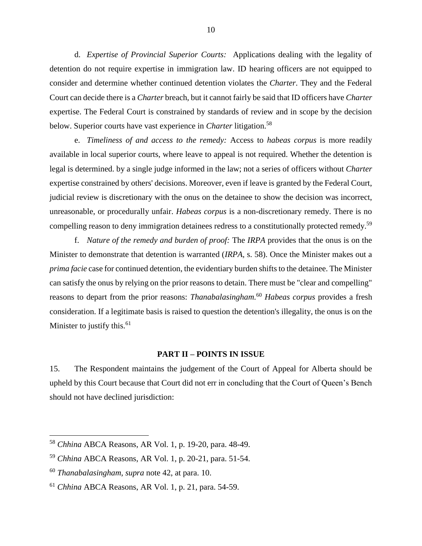d. *Expertise of Provincial Superior Courts:* Applications dealing with the legality of detention do not require expertise in immigration law. ID hearing officers are not equipped to consider and determine whether continued detention violates the *Charter*. They and the Federal Court can decide there is a *Charter* breach, but it cannot fairly be said that ID officers have *Charter* expertise. The Federal Court is constrained by standards of review and in scope by the decision below. Superior courts have vast experience in *Charter* litigation. 58

e. *Timeliness of and access to the remedy:* Access to *habeas corpus* is more readily available in local superior courts, where leave to appeal is not required. Whether the detention is legal is determined. by a single judge informed in the law; not a series of officers without *Charter* expertise constrained by others' decisions. Moreover, even if leave is granted by the Federal Court, judicial review is discretionary with the onus on the detainee to show the decision was incorrect, unreasonable, or procedurally unfair. *Habeas corpus* is a non-discretionary remedy. There is no compelling reason to deny immigration detainees redress to a constitutionally protected remedy.<sup>59</sup>

f. *Nature of the remedy and burden of proof:* The *IRPA* provides that the onus is on the Minister to demonstrate that detention is warranted (*IRPA,* s. 58). Once the Minister makes out a *prima facie* case for continued detention, the evidentiary burden shifts to the detainee. The Minister can satisfy the onus by relying on the prior reasons to detain. There must be "clear and compelling" reasons to depart from the prior reasons: *Thanabalasingham.* <sup>60</sup> *Habeas corpus* provides a fresh consideration. If a legitimate basis is raised to question the detention's illegality, the onus is on the Minister to justify this.<sup>61</sup>

## **PART II – POINTS IN ISSUE**

15. The Respondent maintains the judgement of the Court of Appeal for Alberta should be upheld by this Court because that Court did not err in concluding that the Court of Queen's Bench should not have declined jurisdiction:

<sup>58</sup> *Chhina* ABCA Reasons, AR Vol. 1, p. 19-20, para. 48-49.

<sup>59</sup> *Chhina* ABCA Reasons, AR Vol. 1, p. 20-21, para. 51-54.

<sup>60</sup> *Thanabalasingham*, *supra* note 42, at para. 10.

<sup>61</sup> *Chhina* ABCA Reasons, AR Vol. 1, p. 21, para. 54-59.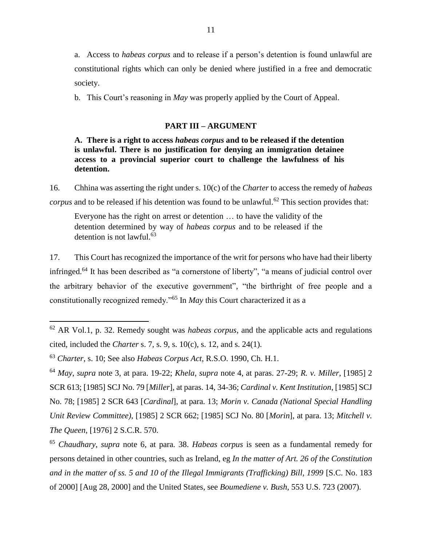a. Access to *habeas corpus* and to release if a person's detention is found unlawful are constitutional rights which can only be denied where justified in a free and democratic society.

b. This Court's reasoning in *May* was properly applied by the Court of Appeal.

#### **PART III – ARGUMENT**

**A. There is a right to access** *habeas corpus* **and to be released if the detention is unlawful. There is no justification for denying an immigration detainee access to a provincial superior court to challenge the lawfulness of his detention.** 

16. Chhina was asserting the right under s. 10(c) of the *Charter* to access the remedy of *habeas corpus* and to be released if his detention was found to be unlawful.<sup>62</sup> This section provides that:

Everyone has the right on arrest or detention … to have the validity of the detention determined by way of *habeas corpus* and to be released if the detention is not lawful.<sup>63</sup>

17. This Court has recognized the importance of the writ for persons who have had their liberty infringed.<sup>64</sup> It has been described as "a cornerstone of liberty", "a means of judicial control over the arbitrary behavior of the executive government", "the birthright of free people and a constitutionally recognized remedy."<sup>65</sup> In *May* this Court characterized it as a

<sup>62</sup> AR Vol.1, p. 32. Remedy sought was *habeas corpus*, and the applicable acts and regulations cited, included the *Charter* s. 7, s. 9, s. 10(c), s. 12, and s. 24(1).

<sup>63</sup> *Charter*, s. 10; See also *Habeas Corpus Act,* R.S.O. 1990, Ch. H.1.

<sup>64</sup> *May*, *supra* note 3, at para. 19-22; *Khela*, *supra* note 4, at paras. 27-29; *R. v. Miller*, [1985] 2 SCR 613; [1985] SCJ No. 79 [*Miller*], at paras. 14, 34-36; *Cardinal v. Kent Institution*, [1985] SCJ No. 78; [1985] 2 SCR 643 [*Cardinal*], at para. 13; *Morin v. Canada (National Special Handling Unit Review Committee)*, [1985] 2 SCR 662; [1985] SCJ No. 80 [*Morin*], at para. 13; *Mitchell v. The Queen*, [1976] 2 S.C.R. 570.

<sup>65</sup> *Chaudhary*, *supra* note 6, at para. 38. *Habeas corpus* is seen as a fundamental remedy for persons detained in other countries, such as Ireland, eg *In the matter of Art. 26 of the Constitution and in the matter of ss. 5 and 10 of the Illegal Immigrants (Trafficking) Bill, 1999* [S.C. No. 183 of 2000] [Aug 28, 2000] and the United States, see *Boumediene v. Bush*, 553 U.S. 723 (2007).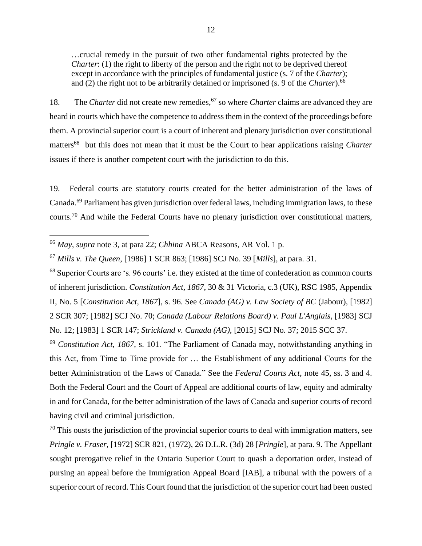…crucial remedy in the pursuit of two other fundamental rights protected by the *Charter*: (1) the right to liberty of the person and the right not to be deprived thereof except in accordance with the principles of fundamental justice (s. 7 of the *Charter*); and (2) the right not to be arbitrarily detained or imprisoned (s. 9 of the *Charter*).<sup>66</sup>

18. The *Charter* did not create new remedies, <sup>67</sup> so where *Charter* claims are advanced they are heard in courts which have the competence to address them in the context of the proceedings before them. A provincial superior court is a court of inherent and plenary jurisdiction over constitutional matters<sup>68</sup> but this does not mean that it must be the Court to hear applications raising *Charter* issues if there is another competent court with the jurisdiction to do this.

19. Federal courts are statutory courts created for the better administration of the laws of Canada.<sup>69</sup> Parliament has given jurisdiction over federal laws, including immigration laws, to these courts.<sup>70</sup> And while the Federal Courts have no plenary jurisdiction over constitutional matters,

 $\overline{a}$ 

<sup>68</sup> Superior Courts are 's. 96 courts' i.e. they existed at the time of confederation as common courts of inherent jurisdiction. *Constitution Act, 1867*, 30 & 31 Victoria, c.3 (UK), RSC 1985, Appendix II, No. 5 [*Constitution Act, 1867*], s. 96. See *Canada (AG) v. Law Society of BC* (Jabour), [1982] 2 SCR 307; [1982] SCJ No. 70; *Canada (Labour Relations Board) v. Paul L'Anglais*, [1983] SCJ No. 12; [1983] 1 SCR 147; *Strickland v. Canada (AG)*, [2015] SCJ No. 37; 2015 SCC 37.

<sup>69</sup> *Constitution Act, 1867*, s. 101. "The Parliament of Canada may, notwithstanding anything in this Act, from Time to Time provide for … the Establishment of any additional Courts for the better Administration of the Laws of Canada." See the *Federal Courts Act*, note 45, ss. 3 and 4. Both the Federal Court and the Court of Appeal are additional courts of law, equity and admiralty in and for Canada, for the better administration of the laws of Canada and superior courts of record having civil and criminal jurisdiction.

 $70$  This ousts the jurisdiction of the provincial superior courts to deal with immigration matters, see *Pringle v. Fraser*, [1972] SCR 821, (1972), 26 D.L.R. (3d) 28 [*Pringle*], at para. 9. The Appellant sought prerogative relief in the Ontario Superior Court to quash a deportation order, instead of pursing an appeal before the Immigration Appeal Board [IAB], a tribunal with the powers of a superior court of record. This Court found that the jurisdiction of the superior court had been ousted

<sup>66</sup> *May*, *supra* note 3, at para 22; *Chhina* ABCA Reasons, AR Vol. 1 p.

<sup>67</sup> *Mills v. The Queen*, [1986] 1 SCR 863; [1986] SCJ No. 39 [*Mills*], at para. 31.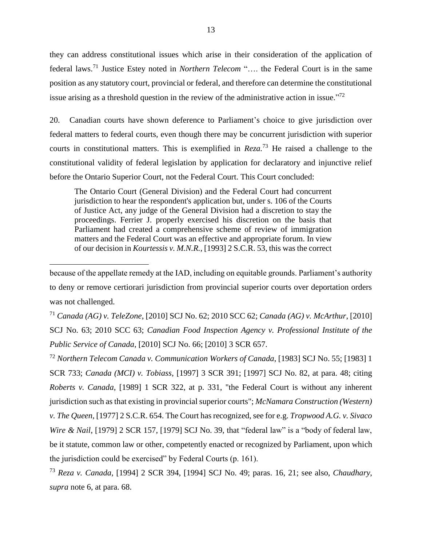they can address constitutional issues which arise in their consideration of the application of federal laws. <sup>71</sup> Justice Estey noted in *Northern Telecom* "…. the Federal Court is in the same position as any statutory court, provincial or federal, and therefore can determine the constitutional issue arising as a threshold question in the review of the administrative action in issue."<sup>72</sup>

20. Canadian courts have shown deference to Parliament's choice to give jurisdiction over federal matters to federal courts, even though there may be concurrent jurisdiction with superior courts in constitutional matters. This is exemplified in *Reza.* <sup>73</sup> He raised a challenge to the constitutional validity of federal legislation by application for declaratory and injunctive relief before the Ontario Superior Court, not the Federal Court. This Court concluded:

The Ontario Court (General Division) and the Federal Court had concurrent jurisdiction to hear the respondent's application but, under s. 106 of the Courts of Justice Act, any judge of the General Division had a discretion to stay the proceedings. Ferrier J. properly exercised his discretion on the basis that Parliament had created a comprehensive scheme of review of immigration matters and the Federal Court was an effective and appropriate forum. In view of our decision in *Kourtessis v. M.N.R.,* [1993] 2 S.C.R. 53, this was the correct

 $\overline{a}$ 

<sup>71</sup> *Canada (AG) v. TeleZone*, [2010] SCJ No. 62; 2010 SCC 62; *Canada (AG) v. McArthur*, [2010] SCJ No. 63; 2010 SCC 63; *Canadian Food Inspection Agency v. Professional Institute of the Public Service of Canada*, [2010] SCJ No. 66; [2010] 3 SCR 657.

<sup>72</sup> *Northern Telecom Canada v. Communication Workers of Canada*, [1983] SCJ No. 55; [1983] 1 SCR 733; *Canada (MCI) v. Tobiass*, [1997] 3 SCR 391; [1997] SCJ No. 82, at para. 48; citing *Roberts v. Canada*, [1989] 1 SCR 322, at p. 331, "the Federal Court is without any inherent jurisdiction such as that existing in provincial superior courts"; *McNamara Construction (Western) v. The Queen*, [1977] 2 S.C.R. 654. The Court has recognized, see for e.g. *Tropwood A.G. v. Sivaco Wire & Nail*, [1979] 2 SCR 157, [1979] SCJ No. 39, that "federal law" is a "body of federal law, be it statute, common law or other, competently enacted or recognized by Parliament, upon which the jurisdiction could be exercised" by Federal Courts (p. 161).

<sup>73</sup> *Reza v. Canada*, [1994] 2 SCR 394, [1994] SCJ No. 49; paras. 16, 21; see also, *Chaudhary*, *supra* note 6, at para. 68.

because of the appellate remedy at the IAD, including on equitable grounds. Parliament's authority to deny or remove certiorari jurisdiction from provincial superior courts over deportation orders was not challenged.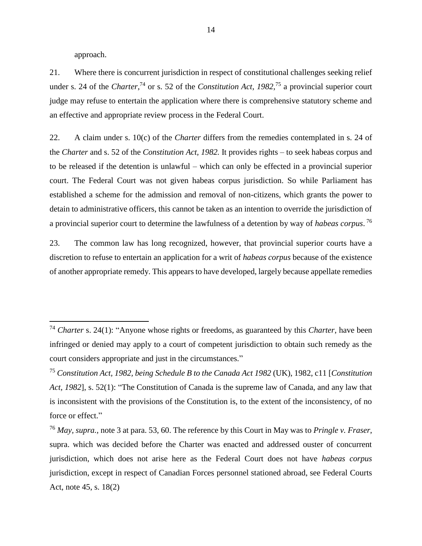approach.

 $\overline{a}$ 

21. Where there is concurrent jurisdiction in respect of constitutional challenges seeking relief under s. 24 of the *Charter*<sup>74</sup> or s. 52 of the *Constitution Act*, 1982<sup>75</sup> a provincial superior court judge may refuse to entertain the application where there is comprehensive statutory scheme and an effective and appropriate review process in the Federal Court.

22. A claim under s. 10(c) of the *Charter* differs from the remedies contemplated in s. 24 of the *Charter* and s. 52 of the *Constitution Act, 1982.* It provides rights – to seek habeas corpus and to be released if the detention is unlawful – which can only be effected in a provincial superior court. The Federal Court was not given habeas corpus jurisdiction. So while Parliament has established a scheme for the admission and removal of non-citizens, which grants the power to detain to administrative officers, this cannot be taken as an intention to override the jurisdiction of a provincial superior court to determine the lawfulness of a detention by way of *habeas corpus*. 76

23. The common law has long recognized, however, that provincial superior courts have a discretion to refuse to entertain an application for a writ of *habeas corpus* because of the existence of another appropriate remedy. This appears to have developed, largely because appellate remedies

<sup>74</sup> *Charter* s. 24(1): "Anyone whose rights or freedoms, as guaranteed by this *Charter*, have been infringed or denied may apply to a court of competent jurisdiction to obtain such remedy as the court considers appropriate and just in the circumstances."

<sup>75</sup> *Constitution Act, 1982, being Schedule B to the Canada Act 1982* (UK), 1982, c11 [*Constitution Act, 1982*], s. 52(1): "The Constitution of Canada is the supreme law of Canada, and any law that is inconsistent with the provisions of the Constitution is, to the extent of the inconsistency, of no force or effect."

<sup>76</sup> *May, supra.,* note 3 at para. 53, 60. The reference by this Court in May was to *Pringle v. Fraser*, supra. which was decided before the Charter was enacted and addressed ouster of concurrent jurisdiction, which does not arise here as the Federal Court does not have *habeas corpus* jurisdiction, except in respect of Canadian Forces personnel stationed abroad, see Federal Courts Act, note 45, s. 18(2)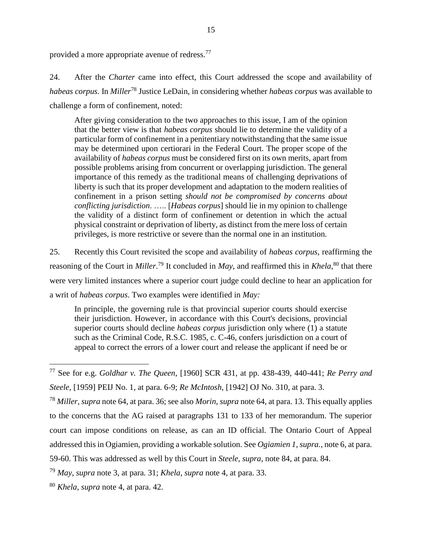provided a more appropriate avenue of redress.<sup>77</sup>

24. After the *Charter* came into effect, this Court addressed the scope and availability of *habeas corpus*. In *Miller*<sup>78</sup> Justice LeDain, in considering whether *habeas corpus* was available to challenge a form of confinement, noted:

After giving consideration to the two approaches to this issue, I am of the opinion that the better view is that *habeas corpus* should lie to determine the validity of a particular form of confinement in a penitentiary notwithstanding that the same issue may be determined upon certiorari in the Federal Court. The proper scope of the availability of *habeas corpus* must be considered first on its own merits, apart from possible problems arising from concurrent or overlapping jurisdiction. The general importance of this remedy as the traditional means of challenging deprivations of liberty is such that its proper development and adaptation to the modern realities of confinement in a prison setting *should not be compromised by concerns about conflicting jurisdiction*. ….. [*Habeas corpus*] should lie in my opinion to challenge the validity of a distinct form of confinement or detention in which the actual physical constraint or deprivation of liberty, as distinct from the mere loss of certain privileges, is more restrictive or severe than the normal one in an institution.

25. Recently this Court revisited the scope and availability of *habeas corpus*, reaffirming the reasoning of the Court in *Miller*. <sup>79</sup> It concluded in *May*, and reaffirmed this in *Khela*, <sup>80</sup> that there were very limited instances where a superior court judge could decline to hear an application for a writ of *habeas corpus*. Two examples were identified in *May:*

In principle, the governing rule is that provincial superior courts should exercise their jurisdiction. However, in accordance with this Court's decisions, provincial superior courts should decline *habeas corpus* jurisdiction only where (1) a statute such as the Criminal Code, R.S.C. 1985, c. C-46, confers jurisdiction on a court of appeal to correct the errors of a lower court and release the applicant if need be or

<sup>77</sup> See for e.g. *Goldhar v. The Queen*, [1960] SCR 431, at pp. 438-439, 440-441; *Re Perry and Steele*, [1959] PEIJ No. 1, at para. 6-9; *Re McIntosh*, [1942] OJ No. 310, at para. 3.

<sup>78</sup> *Miller*, *supra* note 64, at para. 36; see also *Morin*, *supra* note 64, at para. 13. This equally applies to the concerns that the AG raised at paragraphs 131 to 133 of her memorandum. The superior court can impose conditions on release, as can an ID official. The Ontario Court of Appeal addressed this in Ogiamien, providing a workable solution. See *Ogiamien 1*, *supra.*, note 6, at para.

<sup>59-60.</sup> This was addressed as well by this Court in *Steele, supra,* note 84, at para. 84.

<sup>79</sup> *May*, *supra* note 3, at para. 31; *Khela*, *supra* note 4, at para. 33.

<sup>80</sup> *Khela*, *supra* note 4, at para. 42.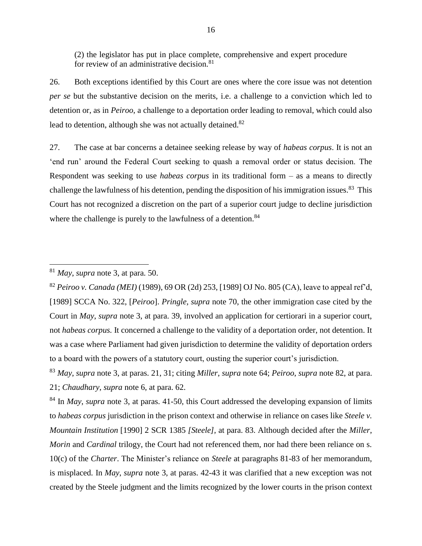(2) the legislator has put in place complete, comprehensive and expert procedure for review of an administrative decision. $81$ 

26. Both exceptions identified by this Court are ones where the core issue was not detention *per se* but the substantive decision on the merits, i.e. a challenge to a conviction which led to detention or, as in *Peiroo*, a challenge to a deportation order leading to removal, which could also lead to detention, although she was not actually detained.<sup>82</sup>

27. The case at bar concerns a detainee seeking release by way of *habeas corpus*. It is not an 'end run' around the Federal Court seeking to quash a removal order or status decision. The Respondent was seeking to use *habeas corpus* in its traditional form – as a means to directly challenge the lawfulness of his detention, pending the disposition of his immigration issues.<sup>83</sup> This Court has not recognized a discretion on the part of a superior court judge to decline jurisdiction where the challenge is purely to the lawfulness of a detention.<sup>84</sup>

<sup>81</sup> *May*, *supra* note 3, at para. 50.

<sup>82</sup> *Peiroo v. Canada (MEI)* (1989), 69 OR (2d) 253, [1989] OJ No. 805 (CA), leave to appeal ref'd, [1989] SCCA No. 322, [*Peiroo*]. *Pringle, supra* note 70, the other immigration case cited by the Court in *May*, *supra* note 3, at para. 39, involved an application for certiorari in a superior court, not *habeas corpus.* It concerned a challenge to the validity of a deportation order, not detention. It was a case where Parliament had given jurisdiction to determine the validity of deportation orders to a board with the powers of a statutory court, ousting the superior court's jurisdiction.

<sup>83</sup> *May*, *supra* note 3, at paras. 21, 31; citing *Miller*, *supra* note 64; *Peiroo*, *supra* note 82, at para. 21; *Chaudhary*, *supra* note 6, at para. 62.

<sup>84</sup> In *May*, *supra* note 3, at paras. 41-50, this Court addressed the developing expansion of limits to *habeas corpus* jurisdiction in the prison context and otherwise in reliance on cases like *Steele v. Mountain Institution* [1990] 2 SCR 1385 *[Steele],* at para. 83. Although decided after the *Miller*, *Morin* and *Cardinal* trilogy, the Court had not referenced them, nor had there been reliance on s. 10(c) of the *Charter*. The Minister's reliance on *Steele* at paragraphs 81-83 of her memorandum, is misplaced. In *May*, *supra* note 3, at paras. 42-43 it was clarified that a new exception was not created by the Steele judgment and the limits recognized by the lower courts in the prison context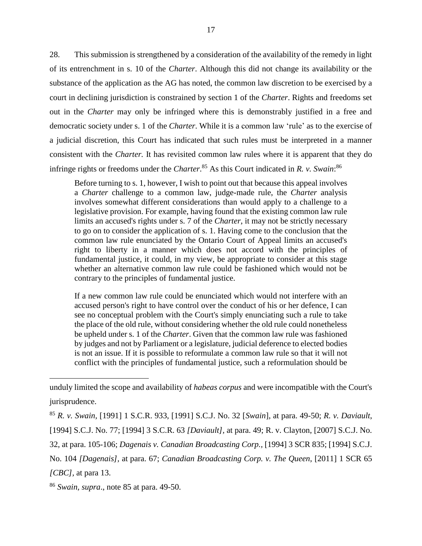28. This submission is strengthened by a consideration of the availability of the remedy in light of its entrenchment in s. 10 of the *Charter*. Although this did not change its availability or the substance of the application as the AG has noted, the common law discretion to be exercised by a court in declining jurisdiction is constrained by section 1 of the *Charter*. Rights and freedoms set out in the *Charter* may only be infringed where this is demonstrably justified in a free and democratic society under s. 1 of the *Charter*. While it is a common law 'rule' as to the exercise of a judicial discretion, this Court has indicated that such rules must be interpreted in a manner consistent with the *Charter.* It has revisited common law rules where it is apparent that they do infringe rights or freedoms under the *Charter*. <sup>85</sup> As this Court indicated in *R. v. Swain*: 86

Before turning to s. 1, however, I wish to point out that because this appeal involves a *Charter* challenge to a common law, judge-made rule, the *Charter* analysis involves somewhat different considerations than would apply to a challenge to a legislative provision. For example, having found that the existing common law rule limits an accused's rights under s. 7 of the *Charter*, it may not be strictly necessary to go on to consider the application of s. 1. Having come to the conclusion that the common law rule enunciated by the Ontario Court of Appeal limits an accused's right to liberty in a manner which does not accord with the principles of fundamental justice, it could, in my view, be appropriate to consider at this stage whether an alternative common law rule could be fashioned which would not be contrary to the principles of fundamental justice.

If a new common law rule could be enunciated which would not interfere with an accused person's right to have control over the conduct of his or her defence, I can see no conceptual problem with the Court's simply enunciating such a rule to take the place of the old rule, without considering whether the old rule could nonetheless be upheld under s. 1 of the *Charter*. Given that the common law rule was fashioned by judges and not by Parliament or a legislature, judicial deference to elected bodies is not an issue. If it is possible to reformulate a common law rule so that it will not conflict with the principles of fundamental justice, such a reformulation should be

unduly limited the scope and availability of *habeas corpus* and were incompatible with the Court's jurisprudence.

<sup>85</sup> *R. v. Swain,* [1991] 1 S.C.R. 933, [1991] S.C.J. No. 32 [*Swain*], at para. 49-50; *R. v. Daviault*, [1994] S.C.J. No. 77; [1994] 3 S.C.R. 63 *[Daviault],* at para. 49; R. v. Clayton, [2007] S.C.J. No. 32, at para. 105-106; *Dagenais v. Canadian Broadcasting Corp.,* [1994] 3 SCR 835; [1994] S.C.J. No. 104 *[Dagenais],* at para. 67; *Canadian Broadcasting Corp. v. The Queen*, [2011] 1 SCR 65

*<sup>[</sup>CBC],* at para 13.

<sup>86</sup> *Swain, supra*., note 85 at para. 49-50.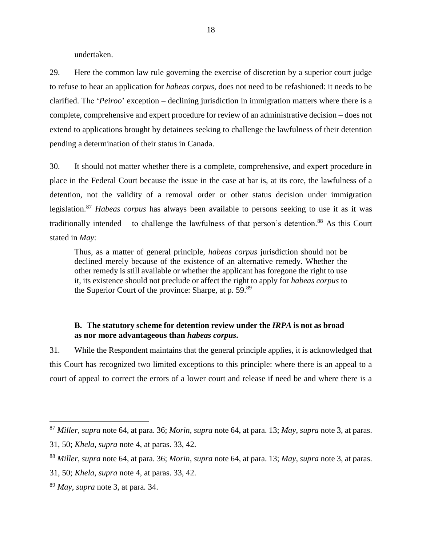undertaken.

29. Here the common law rule governing the exercise of discretion by a superior court judge to refuse to hear an application for *habeas corpus*, does not need to be refashioned: it needs to be clarified. The '*Peiroo*' exception – declining jurisdiction in immigration matters where there is a complete, comprehensive and expert procedure for review of an administrative decision – does not extend to applications brought by detainees seeking to challenge the lawfulness of their detention pending a determination of their status in Canada.

30. It should not matter whether there is a complete, comprehensive, and expert procedure in place in the Federal Court because the issue in the case at bar is, at its core, the lawfulness of a detention, not the validity of a removal order or other status decision under immigration legislation.<sup>87</sup> *Habeas corpus* has always been available to persons seeking to use it as it was traditionally intended – to challenge the lawfulness of that person's detention.<sup>88</sup> As this Court stated in *May*:

Thus, as a matter of general principle, *habeas corpus* jurisdiction should not be declined merely because of the existence of an alternative remedy. Whether the other remedy is still available or whether the applicant has foregone the right to use it, its existence should not preclude or affect the right to apply for *habeas corpus* to the Superior Court of the province: Sharpe, at p. 59.<sup>89</sup>

## **B. The statutory scheme for detention review under the** *IRPA* **is not as broad as nor more advantageous than** *habeas corpus***.**

31. While the Respondent maintains that the general principle applies, it is acknowledged that this Court has recognized two limited exceptions to this principle: where there is an appeal to a court of appeal to correct the errors of a lower court and release if need be and where there is a

<sup>87</sup> *Miller*, *supra* note 64, at para. 36; *Morin*, *supra* note 64, at para. 13; *May*, *supra* note 3, at paras.

<sup>31, 50;</sup> *Khela*, *supra* note 4, at paras. 33, 42.

<sup>88</sup> *Miller*, *supra* note 64, at para. 36; *Morin*, *supra* note 64, at para. 13; *May*, *supra* note 3, at paras.

<sup>31, 50;</sup> *Khela*, *supra* note 4, at paras. 33, 42.

<sup>89</sup> *May*, *supra* note 3, at para. 34.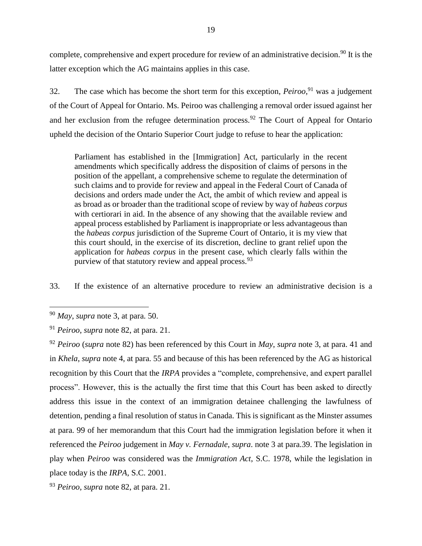complete, comprehensive and expert procedure for review of an administrative decision.<sup>90</sup> It is the latter exception which the AG maintains applies in this case.

32. The case which has become the short term for this exception, *Peiroo*, <sup>91</sup> was a judgement of the Court of Appeal for Ontario. Ms. Peiroo was challenging a removal order issued against her and her exclusion from the refugee determination process.<sup>92</sup> The Court of Appeal for Ontario upheld the decision of the Ontario Superior Court judge to refuse to hear the application:

Parliament has established in the [Immigration] Act, particularly in the recent amendments which specifically address the disposition of claims of persons in the position of the appellant, a comprehensive scheme to regulate the determination of such claims and to provide for review and appeal in the Federal Court of Canada of decisions and orders made under the Act, the ambit of which review and appeal is as broad as or broader than the traditional scope of review by way of *habeas corpus* with certiorari in aid. In the absence of any showing that the available review and appeal process established by Parliament is inappropriate or less advantageous than the *habeas corpus* jurisdiction of the Supreme Court of Ontario, it is my view that this court should, in the exercise of its discretion, decline to grant relief upon the application for *habeas corpus* in the present case, which clearly falls within the purview of that statutory review and appeal process.<sup>93</sup>

33. If the existence of an alternative procedure to review an administrative decision is a

 $\overline{a}$ 

<sup>92</sup> *Peiroo* (*supra* note 82) has been referenced by this Court in *May*, *supra* note 3, at para. 41 and in *Khela*, *supra* note 4, at para. 55 and because of this has been referenced by the AG as historical recognition by this Court that the *IRPA* provides a "complete, comprehensive, and expert parallel process". However, this is the actually the first time that this Court has been asked to directly address this issue in the context of an immigration detainee challenging the lawfulness of detention, pending a final resolution of status in Canada. This is significant as the Minster assumes at para. 99 of her memorandum that this Court had the immigration legislation before it when it referenced the *Peiroo* judgement in *May v. Fernadale*, *supra*. note 3 at para.39. The legislation in play when *Peiroo* was considered was the *Immigration Act*, S.C. 1978, while the legislation in place today is the *IRPA*, S.C. 2001.

<sup>93</sup> *Peiroo*, *supra* note 82, at para. 21.

<sup>90</sup> *May*, *supra* note 3, at para. 50.

<sup>91</sup> *Peiroo*, *supra* note 82, at para. 21.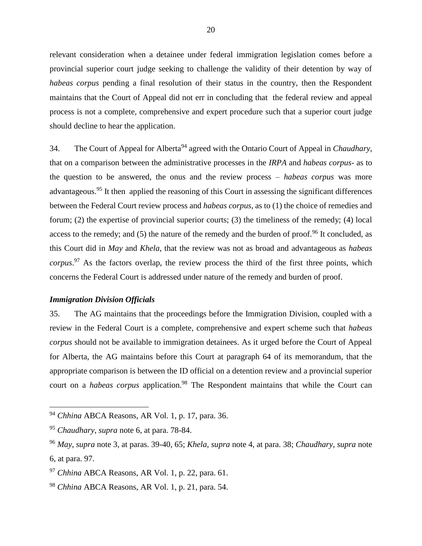relevant consideration when a detainee under federal immigration legislation comes before a provincial superior court judge seeking to challenge the validity of their detention by way of *habeas corpus* pending a final resolution of their status in the country, then the Respondent maintains that the Court of Appeal did not err in concluding that the federal review and appeal process is not a complete, comprehensive and expert procedure such that a superior court judge should decline to hear the application.

34. The Court of Appeal for Alberta<sup>94</sup> agreed with the Ontario Court of Appeal in *Chaudhary*, that on a comparison between the administrative processes in the *IRPA* and *habeas corpus*- as to the question to be answered, the onus and the review process – *habeas corpus* was more advantageous.<sup>95</sup> It then applied the reasoning of this Court in assessing the significant differences between the Federal Court review process and *habeas corpus*, as to (1) the choice of remedies and forum; (2) the expertise of provincial superior courts; (3) the timeliness of the remedy; (4) local access to the remedy; and (5) the nature of the remedy and the burden of proof.<sup>96</sup> It concluded, as this Court did in *May* and *Khela*, that the review was not as broad and advantageous as *habeas corpus*. <sup>97</sup> As the factors overlap, the review process the third of the first three points, which concerns the Federal Court is addressed under nature of the remedy and burden of proof.

## *Immigration Division Officials*

 $\overline{a}$ 

35. The AG maintains that the proceedings before the Immigration Division, coupled with a review in the Federal Court is a complete, comprehensive and expert scheme such that *habeas corpus* should not be available to immigration detainees. As it urged before the Court of Appeal for Alberta, the AG maintains before this Court at paragraph 64 of its memorandum, that the appropriate comparison is between the ID official on a detention review and a provincial superior court on a *habeas corpus* application.<sup>98</sup> The Respondent maintains that while the Court can

<sup>94</sup> *Chhina* ABCA Reasons, AR Vol. 1, p. 17, para. 36.

<sup>95</sup> *Chaudhary*, *supra* note 6, at para. 78-84.

<sup>96</sup> *May*, *supra* note 3, at paras. 39-40, 65; *Khela*, *supra* note 4, at para. 38; *Chaudhary*, *supra* note 6, at para. 97.

<sup>97</sup> *Chhina* ABCA Reasons, AR Vol. 1, p. 22, para. 61.

<sup>98</sup> *Chhina* ABCA Reasons, AR Vol. 1, p. 21, para. 54.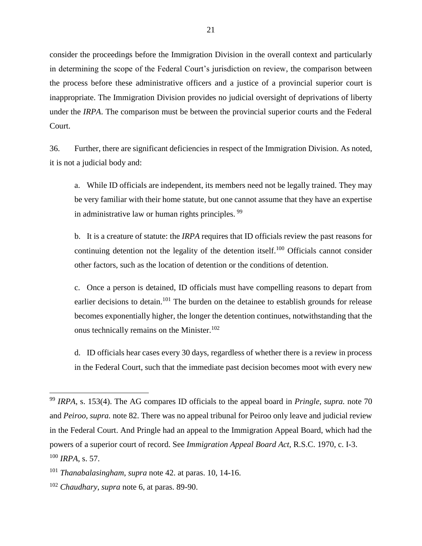consider the proceedings before the Immigration Division in the overall context and particularly in determining the scope of the Federal Court's jurisdiction on review, the comparison between the process before these administrative officers and a justice of a provincial superior court is inappropriate. The Immigration Division provides no judicial oversight of deprivations of liberty under the *IRPA*. The comparison must be between the provincial superior courts and the Federal Court.

36. Further, there are significant deficiencies in respect of the Immigration Division. As noted, it is not a judicial body and:

a. While ID officials are independent, its members need not be legally trained. They may be very familiar with their home statute, but one cannot assume that they have an expertise in administrative law or human rights principles. <sup>99</sup>

b. It is a creature of statute: the *IRPA* requires that ID officials review the past reasons for continuing detention not the legality of the detention itself.<sup>100</sup> Officials cannot consider other factors, such as the location of detention or the conditions of detention.

c. Once a person is detained, ID officials must have compelling reasons to depart from earlier decisions to detain.<sup>101</sup> The burden on the detainee to establish grounds for release becomes exponentially higher, the longer the detention continues, notwithstanding that the onus technically remains on the Minister.<sup>102</sup>

d. ID officials hear cases every 30 days, regardless of whether there is a review in process in the Federal Court, such that the immediate past decision becomes moot with every new

<sup>99</sup> *IRPA*, s. 153(4). The AG compares ID officials to the appeal board in *Pringle, supra.* note 70 and *Peiroo, supra.* note 82. There was no appeal tribunal for Peiroo only leave and judicial review in the Federal Court. And Pringle had an appeal to the Immigration Appeal Board, which had the powers of a superior court of record. See *Immigration Appeal Board Act,* R.S.C. 1970, c. I-3. <sup>100</sup> *IRPA*, s. 57.

<sup>101</sup> *Thanabalasingham*, *supra* note 42. at paras. 10, 14-16.

<sup>102</sup> *Chaudhary*, *supra* note 6, at paras. 89-90.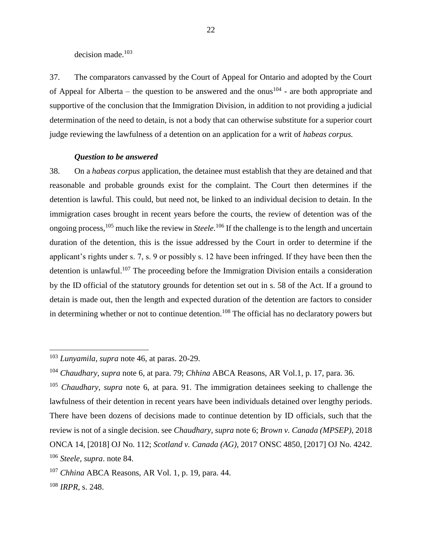decision made. 103

37. The comparators canvassed by the Court of Appeal for Ontario and adopted by the Court of Appeal for Alberta – the question to be answered and the onus<sup>104</sup> - are both appropriate and supportive of the conclusion that the Immigration Division, in addition to not providing a judicial determination of the need to detain, is not a body that can otherwise substitute for a superior court judge reviewing the lawfulness of a detention on an application for a writ of *habeas corpus.*

#### *Question to be answered*

38. On a *habeas corpus* application, the detainee must establish that they are detained and that reasonable and probable grounds exist for the complaint. The Court then determines if the detention is lawful. This could, but need not, be linked to an individual decision to detain. In the immigration cases brought in recent years before the courts, the review of detention was of the ongoing process,<sup>105</sup> much like the review in *Steele*. <sup>106</sup> If the challenge is to the length and uncertain duration of the detention, this is the issue addressed by the Court in order to determine if the applicant's rights under s. 7, s. 9 or possibly s. 12 have been infringed. If they have been then the detention is unlawful.<sup>107</sup> The proceeding before the Immigration Division entails a consideration by the ID official of the statutory grounds for detention set out in s. 58 of the Act. If a ground to detain is made out, then the length and expected duration of the detention are factors to consider in determining whether or not to continue detention.<sup>108</sup> The official has no declaratory powers but

<sup>103</sup> *Lunyamila*, *supra* note 46, at paras. 20-29.

<sup>104</sup> *Chaudhary*, *supra* note 6, at para. 79; *Chhina* ABCA Reasons, AR Vol.1, p. 17, para. 36.

<sup>105</sup> *Chaudhary*, *supra* note 6, at para. 91. The immigration detainees seeking to challenge the lawfulness of their detention in recent years have been individuals detained over lengthy periods. There have been dozens of decisions made to continue detention by ID officials, such that the review is not of a single decision. see *Chaudhary*, *supra* note 6; *Brown v. Canada (MPSEP)*, 2018 ONCA 14, [2018] OJ No. 112; *Scotland v. Canada (AG)*, 2017 ONSC 4850, [2017] OJ No. 4242. <sup>106</sup> *Steele, supra*. note 84.

<sup>107</sup> *Chhina* ABCA Reasons, AR Vol. 1, p. 19, para. 44.

<sup>108</sup> *IRPR*, s. 248.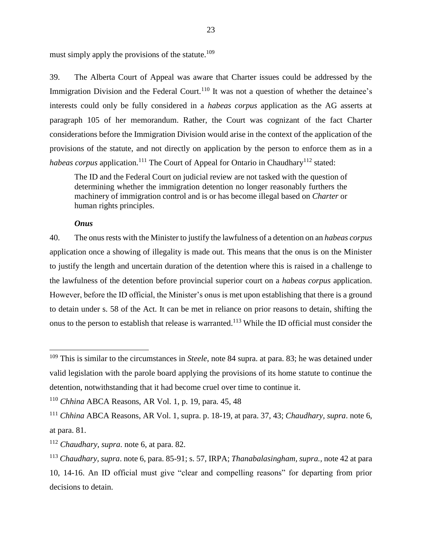must simply apply the provisions of the statute.<sup>109</sup>

39. The Alberta Court of Appeal was aware that Charter issues could be addressed by the Immigration Division and the Federal Court.<sup>110</sup> It was not a question of whether the detainee's interests could only be fully considered in a *habeas corpus* application as the AG asserts at paragraph 105 of her memorandum. Rather, the Court was cognizant of the fact Charter considerations before the Immigration Division would arise in the context of the application of the provisions of the statute, and not directly on application by the person to enforce them as in a *habeas corpus* application.<sup>111</sup> The Court of Appeal for Ontario in Chaudhary<sup>112</sup> stated:

The ID and the Federal Court on judicial review are not tasked with the question of determining whether the immigration detention no longer reasonably furthers the machinery of immigration control and is or has become illegal based on *Charter* or human rights principles.

#### *Onus*

 $\overline{a}$ 

40. The onus rests with the Minister to justify the lawfulness of a detention on an *habeas corpus* application once a showing of illegality is made out. This means that the onus is on the Minister to justify the length and uncertain duration of the detention where this is raised in a challenge to the lawfulness of the detention before provincial superior court on a *habeas corpus* application. However, before the ID official, the Minister's onus is met upon establishing that there is a ground to detain under s. 58 of the Act. It can be met in reliance on prior reasons to detain, shifting the onus to the person to establish that release is warranted.<sup>113</sup> While the ID official must consider the

<sup>109</sup> This is similar to the circumstances in *Steele*, note 84 supra. at para. 83; he was detained under valid legislation with the parole board applying the provisions of its home statute to continue the detention, notwithstanding that it had become cruel over time to continue it.

<sup>110</sup> *Chhina* ABCA Reasons, AR Vol. 1, p. 19, para. 45, 48

<sup>111</sup> *Chhina* ABCA Reasons, AR Vol. 1, supra. p. 18-19, at para. 37, 43; *Chaudhary, supra*. note 6, at para. 81.

<sup>112</sup> *Chaudhary, supra*. note 6, at para. 82.

<sup>113</sup> *Chaudhary, supra*. note 6, para. 85-91; s. 57, IRPA; *Thanabalasingham, supra.,* note 42 at para 10, 14-16. An ID official must give "clear and compelling reasons" for departing from prior decisions to detain.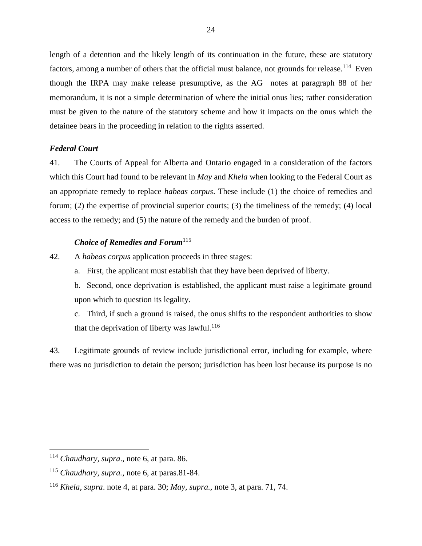length of a detention and the likely length of its continuation in the future, these are statutory factors, among a number of others that the official must balance, not grounds for release.<sup>114</sup> Even though the IRPA may make release presumptive, as the AG notes at paragraph 88 of her memorandum, it is not a simple determination of where the initial onus lies; rather consideration must be given to the nature of the statutory scheme and how it impacts on the onus which the detainee bears in the proceeding in relation to the rights asserted.

## *Federal Court*

41. The Courts of Appeal for Alberta and Ontario engaged in a consideration of the factors which this Court had found to be relevant in *May* and *Khela* when looking to the Federal Court as an appropriate remedy to replace *habeas corpus*. These include (1) the choice of remedies and forum; (2) the expertise of provincial superior courts; (3) the timeliness of the remedy; (4) local access to the remedy; and (5) the nature of the remedy and the burden of proof.

## *Choice of Remedies and Forum*<sup>115</sup>

- 42. A *habeas corpus* application proceeds in three stages:
	- a. First, the applicant must establish that they have been deprived of liberty.
	- b. Second, once deprivation is established, the applicant must raise a legitimate ground upon which to question its legality.
	- c. Third, if such a ground is raised, the onus shifts to the respondent authorities to show that the deprivation of liberty was lawful.<sup>116</sup>

43. Legitimate grounds of review include jurisdictional error, including for example, where there was no jurisdiction to detain the person; jurisdiction has been lost because its purpose is no

<sup>114</sup> *Chaudhary, supra*., note 6, at para. 86.

<sup>115</sup> *Chaudhary, supra.,* note 6, at paras.81-84.

<sup>116</sup> *Khela, supra*. note 4, at para. 30; *May, supra.,* note 3, at para. 71, 74.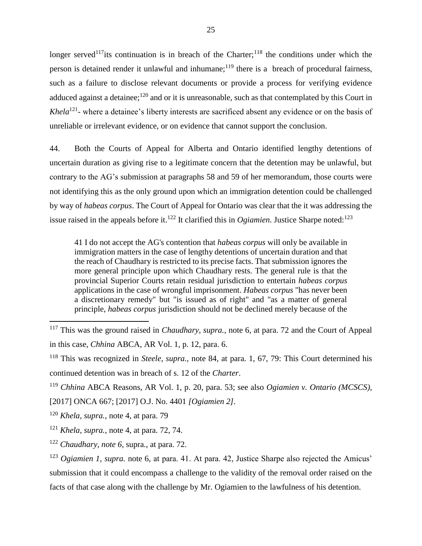longer served<sup>117</sup>its continuation is in breach of the Charter;<sup>118</sup> the conditions under which the person is detained render it unlawful and inhumane;<sup>119</sup> there is a breach of procedural fairness, such as a failure to disclose relevant documents or provide a process for verifying evidence adduced against a detainee;<sup>120</sup> and or it is unreasonable, such as that contemplated by this Court in *Khela*<sup>121</sup>- where a detainee's liberty interests are sacrificed absent any evidence or on the basis of unreliable or irrelevant evidence, or on evidence that cannot support the conclusion.

44. Both the Courts of Appeal for Alberta and Ontario identified lengthy detentions of uncertain duration as giving rise to a legitimate concern that the detention may be unlawful, but contrary to the AG's submission at paragraphs 58 and 59 of her memorandum, those courts were not identifying this as the only ground upon which an immigration detention could be challenged by way of *habeas corpus*. The Court of Appeal for Ontario was clear that the it was addressing the issue raised in the appeals before it.<sup>122</sup> It clarified this in *Ogiamien*. Justice Sharpe noted:<sup>123</sup>

41 I do not accept the AG's contention that *habeas corpus* will only be available in immigration matters in the case of lengthy detentions of uncertain duration and that the reach of Chaudhary is restricted to its precise facts. That submission ignores the more general principle upon which Chaudhary rests. The general rule is that the provincial Superior Courts retain residual jurisdiction to entertain *habeas corpus* applications in the case of wrongful imprisonment. *Habeas corpus* "has never been a discretionary remedy" but "is issued as of right" and "as a matter of general principle, *habeas corpus* jurisdiction should not be declined merely because of the

<sup>117</sup> This was the ground raised in *Chaudhary, supra.,* note 6, at para. 72 and the Court of Appeal in this case, *Chhina* ABCA, AR Vol. 1, p. 12, para. 6.

<sup>118</sup> This was recognized in *Steele, supra.,* note 84, at para. 1, 67, 79: This Court determined his continued detention was in breach of s. 12 of the *Charter*.

<sup>119</sup> *Chhina* ABCA Reasons, AR Vol. 1, p. 20, para. 53; see also *Ogiamien v. Ontario (MCSCS),*

<sup>[2017]</sup> ONCA 667; [2017] O.J. No. 4401 *[Ogiamien 2].*

<sup>120</sup> *Khela, supra.,* note 4, at para. 79

<sup>121</sup> *Khela, supra.,* note 4, at para. 72, 74.

<sup>122</sup> *Chaudhary, note 6,* supra., at para. 72.

<sup>123</sup> *Ogiamien 1, supra.* note 6, at para. 41. At para. 42, Justice Sharpe also rejected the Amicus' submission that it could encompass a challenge to the validity of the removal order raised on the facts of that case along with the challenge by Mr. Ogiamien to the lawfulness of his detention.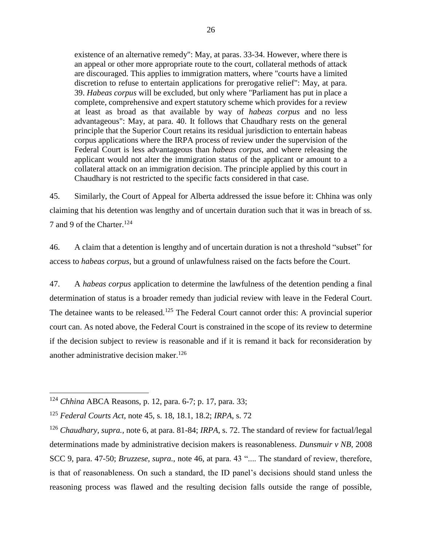existence of an alternative remedy": May, at paras. 33-34. However, where there is an appeal or other more appropriate route to the court, collateral methods of attack are discouraged. This applies to immigration matters, where "courts have a limited discretion to refuse to entertain applications for prerogative relief": May, at para. 39. *Habeas corpus* will be excluded, but only where "Parliament has put in place a complete, comprehensive and expert statutory scheme which provides for a review at least as broad as that available by way of *habeas corpus* and no less advantageous": May, at para. 40. It follows that Chaudhary rests on the general principle that the Superior Court retains its residual jurisdiction to entertain habeas corpus applications where the IRPA process of review under the supervision of the Federal Court is less advantageous than *habeas corpus*, and where releasing the applicant would not alter the immigration status of the applicant or amount to a collateral attack on an immigration decision. The principle applied by this court in Chaudhary is not restricted to the specific facts considered in that case.

45. Similarly, the Court of Appeal for Alberta addressed the issue before it: Chhina was only claiming that his detention was lengthy and of uncertain duration such that it was in breach of ss. 7 and 9 of the Charter.<sup>124</sup>

46. A claim that a detention is lengthy and of uncertain duration is not a threshold "subset" for access to *habeas corpus*, but a ground of unlawfulness raised on the facts before the Court.

47. A *habeas corpus* application to determine the lawfulness of the detention pending a final determination of status is a broader remedy than judicial review with leave in the Federal Court. The detainee wants to be released.<sup>125</sup> The Federal Court cannot order this: A provincial superior court can. As noted above, the Federal Court is constrained in the scope of its review to determine if the decision subject to review is reasonable and if it is remand it back for reconsideration by another administrative decision maker.<sup>126</sup>

<sup>124</sup> *Chhina* ABCA Reasons, p. 12, para. 6-7; p. 17, para. 33;

<sup>125</sup> *Federal Courts Act*, note 45, s. 18, 18.1, 18.2; *IRPA*, s. 72

<sup>126</sup> *Chaudhary, supra.,* note 6, at para. 81-84; *IRPA*, s. 72. The standard of review for factual/legal determinations made by administrative decision makers is reasonableness. *Dunsmuir v NB,* 2008 SCC 9, para. 47-50; *Bruzzese, supra.,* note 46, at para. 43 ".... The standard of review, therefore, is that of reasonableness. On such a standard, the ID panel's decisions should stand unless the reasoning process was flawed and the resulting decision falls outside the range of possible,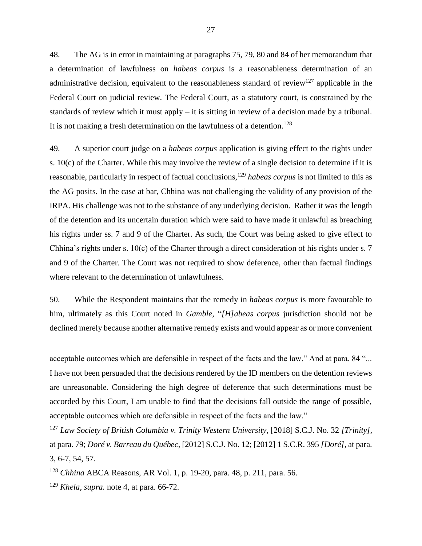48. The AG is in error in maintaining at paragraphs 75, 79, 80 and 84 of her memorandum that a determination of lawfulness on *habeas corpus* is a reasonableness determination of an administrative decision, equivalent to the reasonableness standard of review<sup>127</sup> applicable in the Federal Court on judicial review. The Federal Court, as a statutory court, is constrained by the standards of review which it must apply – it is sitting in review of a decision made by a tribunal. It is not making a fresh determination on the lawfulness of a detention.<sup>128</sup>

49. A superior court judge on a *habeas corpus* application is giving effect to the rights under s. 10(c) of the Charter. While this may involve the review of a single decision to determine if it is reasonable, particularly in respect of factual conclusions,<sup>129</sup> *habeas corpus* is not limited to this as the AG posits. In the case at bar, Chhina was not challenging the validity of any provision of the IRPA. His challenge was not to the substance of any underlying decision. Rather it was the length of the detention and its uncertain duration which were said to have made it unlawful as breaching his rights under ss. 7 and 9 of the Charter. As such, the Court was being asked to give effect to Chhina's rights under s. 10(c) of the Charter through a direct consideration of his rights under s. 7 and 9 of the Charter. The Court was not required to show deference, other than factual findings where relevant to the determination of unlawfulness.

50. While the Respondent maintains that the remedy in *habeas corpus* is more favourable to him, ultimately as this Court noted in *Gamble,* "*[H]abeas corpus* jurisdiction should not be declined merely because another alternative remedy exists and would appear as or more convenient

acceptable outcomes which are defensible in respect of the facts and the law." And at para. 84 "... I have not been persuaded that the decisions rendered by the ID members on the detention reviews are unreasonable. Considering the high degree of deference that such determinations must be accorded by this Court, I am unable to find that the decisions fall outside the range of possible, acceptable outcomes which are defensible in respect of the facts and the law."

<sup>127</sup> *Law Society of British Columbia v. Trinity Western University*, [2018] S.C.J. No. 32 *[Trinity],* at para. 79; *Doré v. Barreau du Québec,* [2012] S.C.J. No. 12; [2012] 1 S.C.R. 395 *[Doré],* at para. 3, 6-7, 54, 57.

<sup>128</sup> *Chhina* ABCA Reasons, AR Vol. 1, p. 19-20, para. 48, p. 211, para. 56.

<sup>129</sup> *Khela, supra.* note 4, at para. 66-72.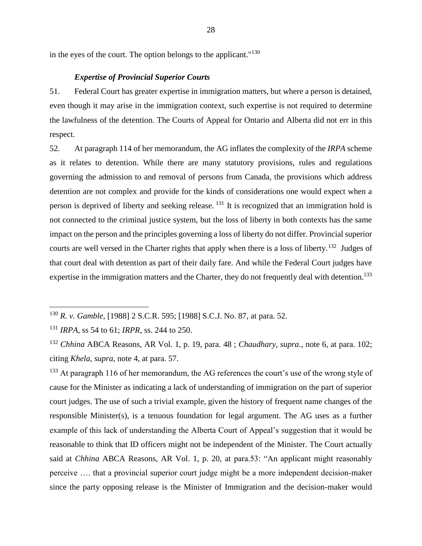in the eyes of the court. The option belongs to the applicant."<sup>130</sup>

#### *Expertise of Provincial Superior Courts*

51. Federal Court has greater expertise in immigration matters, but where a person is detained, even though it may arise in the immigration context, such expertise is not required to determine the lawfulness of the detention. The Courts of Appeal for Ontario and Alberta did not err in this respect.

52. At paragraph 114 of her memorandum, the AG inflates the complexity of the *IRPA* scheme as it relates to detention. While there are many statutory provisions, rules and regulations governing the admission to and removal of persons from Canada, the provisions which address detention are not complex and provide for the kinds of considerations one would expect when a person is deprived of liberty and seeking release.  $131$  It is recognized that an immigration hold is not connected to the criminal justice system, but the loss of liberty in both contexts has the same impact on the person and the principles governing a loss of liberty do not differ. Provincial superior courts are well versed in the Charter rights that apply when there is a loss of liberty.<sup>132</sup> Judges of that court deal with detention as part of their daily fare. And while the Federal Court judges have expertise in the immigration matters and the Charter, they do not frequently deal with detention.<sup>133</sup>

 $\overline{a}$ 

<sup>133</sup> At paragraph 116 of her memorandum, the AG references the court's use of the wrong style of cause for the Minister as indicating a lack of understanding of immigration on the part of superior court judges. The use of such a trivial example, given the history of frequent name changes of the responsible Minister(s), is a tenuous foundation for legal argument. The AG uses as a further example of this lack of understanding the Alberta Court of Appeal's suggestion that it would be reasonable to think that ID officers might not be independent of the Minister. The Court actually said at *Chhina* ABCA Reasons, AR Vol. 1, p. 20, at para.53: "An applicant might reasonably perceive …. that a provincial superior court judge might be a more independent decision-maker since the party opposing release is the Minister of Immigration and the decision-maker would

<sup>130</sup> *R. v. Gamble*, [1988] 2 S.C.R. 595; [1988] S.C.J. No. 87, at para. 52.

<sup>131</sup> *IRPA*, ss 54 to 61; *IRPR*, ss. 244 to 250.

<sup>132</sup> *Chhina* ABCA Reasons, AR Vol. 1, p. 19, para. 48 ; *Chaudhary, supra.,* note 6, at para. 102; citing *Khela, supra*, note 4, at para. 57.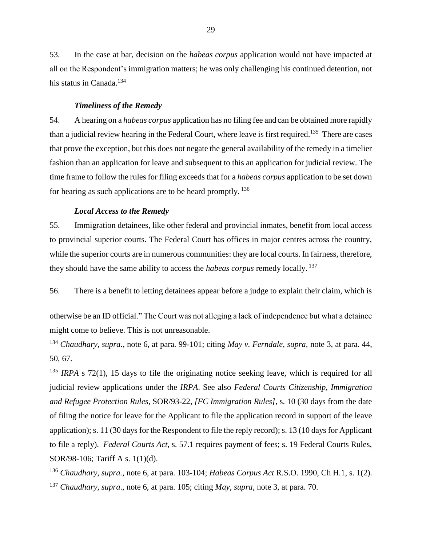53. In the case at bar, decision on the *habeas corpus* application would not have impacted at all on the Respondent's immigration matters; he was only challenging his continued detention, not his status in Canada.<sup>134</sup>

#### *Timeliness of the Remedy*

54. A hearing on a *habeas corpus* application has no filing fee and can be obtained more rapidly than a judicial review hearing in the Federal Court, where leave is first required.<sup>135</sup> There are cases that prove the exception, but this does not negate the general availability of the remedy in a timelier fashion than an application for leave and subsequent to this an application for judicial review. The time frame to follow the rules for filing exceeds that for a *habeas corpus* application to be set down for hearing as such applications are to be heard promptly.  $136$ 

#### *Local Access to the Remedy*

 $\overline{a}$ 

55. Immigration detainees, like other federal and provincial inmates, benefit from local access to provincial superior courts. The Federal Court has offices in major centres across the country, while the superior courts are in numerous communities: they are local courts. In fairness, therefore, they should have the same ability to access the *habeas corpus* remedy locally. <sup>137</sup>

56. There is a benefit to letting detainees appear before a judge to explain their claim, which is

otherwise be an ID official." The Court was not alleging a lack of independence but what a detainee might come to believe. This is not unreasonable.

<sup>134</sup> *Chaudhary, supra.,* note 6, at para. 99-101; citing *May v. Ferndale, supra,* note 3, at para. 44, 50, 67.

<sup>135</sup> *IRPA* s 72(1), 15 days to file the originating notice seeking leave, which is required for all judicial review applications under the *IRPA*. See also *Federal Courts Citizenship, Immigration and Refugee Protection Rules*, SOR/93-22, *[FC Immigration Rules],* s. 10 (30 days from the date of filing the notice for leave for the Applicant to file the application record in support of the leave application); s. 11 (30 days for the Respondent to file the reply record); s. 13 (10 days for Applicant to file a reply). *Federal Courts Act*, s. 57.1 requires payment of fees; s. 19 Federal Courts Rules, SOR/98-106; Tariff A s. 1(1)(d).

<sup>136</sup> *Chaudhary, supra.,* note 6, at para. 103-104; *Habeas Corpus Act* R.S.O. 1990, Ch H.1, s. 1(2). <sup>137</sup> *Chaudhary, supra*., note 6, at para. 105; citing *May, supra,* note 3, at para. 70.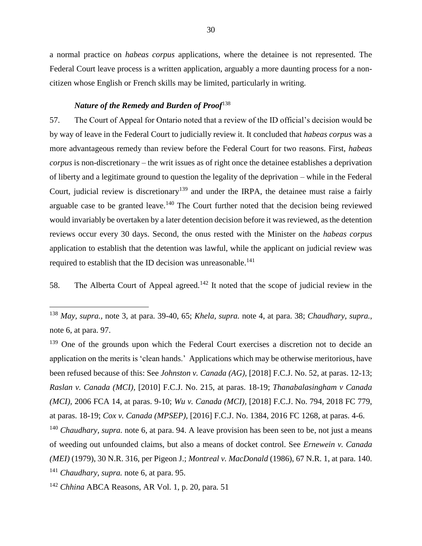a normal practice on *habeas corpus* applications, where the detainee is not represented. The Federal Court leave process is a written application, arguably a more daunting process for a noncitizen whose English or French skills may be limited, particularly in writing.

## *Nature of the Remedy and Burden of Proof*<sup>138</sup>

57. The Court of Appeal for Ontario noted that a review of the ID official's decision would be by way of leave in the Federal Court to judicially review it. It concluded that *habeas corpus* was a more advantageous remedy than review before the Federal Court for two reasons. First, *habeas corpus* is non-discretionary – the writ issues as of right once the detainee establishes a deprivation of liberty and a legitimate ground to question the legality of the deprivation – while in the Federal Court, judicial review is discretionary<sup>139</sup> and under the IRPA, the detainee must raise a fairly arguable case to be granted leave.<sup>140</sup> The Court further noted that the decision being reviewed would invariably be overtaken by a later detention decision before it was reviewed, as the detention reviews occur every 30 days. Second, the onus rested with the Minister on the *habeas corpus* application to establish that the detention was lawful, while the applicant on judicial review was required to establish that the ID decision was unreasonable.<sup>141</sup>

58. The Alberta Court of Appeal agreed.<sup>142</sup> It noted that the scope of judicial review in the

<sup>139</sup> One of the grounds upon which the Federal Court exercises a discretion not to decide an application on the merits is 'clean hands.' Applications which may be otherwise meritorious, have been refused because of this: See *Johnston v. Canada (AG),* [2018] F.C.J. No. 52, at paras. 12-13; *Raslan v. Canada (MCI),* [2010] F.C.J. No. 215, at paras. 18-19; *Thanabalasingham v Canada (MCI),* 2006 FCA 14, at paras. 9-10; *Wu v. Canada (MCI),* [2018] F.C.J. No. 794, 2018 FC 779, at paras. 18-19; *Cox v. Canada (MPSEP),* [2016] F.C.J. No. 1384, 2016 FC 1268, at paras. 4-6.

<sup>140</sup> *Chaudhary, supra.* note 6, at para. 94. A leave provision has been seen to be, not just a means of weeding out unfounded claims, but also a means of docket control. See *Ernewein v. Canada (MEI)* (1979), 30 N.R. 316, per Pigeon J.; *Montreal v. MacDonald* (1986), 67 N.R. 1, at para. 140. <sup>141</sup> *Chaudhary, supra.* note 6, at para. 95.

<sup>142</sup> *Chhina* ABCA Reasons, AR Vol. 1, p. 20, para. 51

<sup>138</sup> *May, supra.,* note 3, at para. 39-40, 65; *Khela, supra.* note 4, at para. 38; *Chaudhary, supra.,* note 6, at para. 97.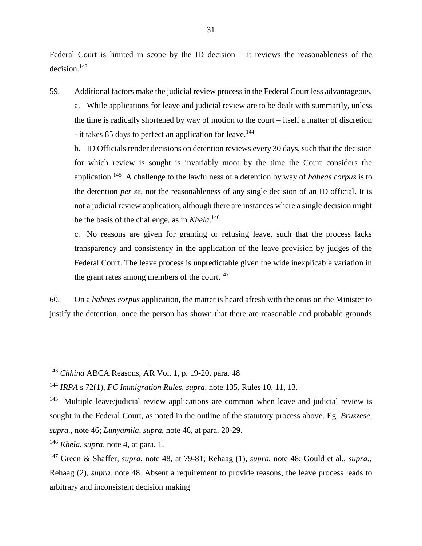Federal Court is limited in scope by the ID decision – it reviews the reasonableness of the  $decision.<sup>143</sup>$ 

59. Additional factors make the judicial review process in the Federal Court less advantageous. a. While applications for leave and judicial review are to be dealt with summarily, unless the time is radically shortened by way of motion to the court – itself a matter of discretion - it takes 85 days to perfect an application for leave.<sup>144</sup>

b. ID Officials render decisions on detention reviews every 30 days, such that the decision for which review is sought is invariably moot by the time the Court considers the application.<sup>145</sup> A challenge to the lawfulness of a detention by way of *habeas corpus* is to the detention *per se*, not the reasonableness of any single decision of an ID official. It is not a judicial review application, although there are instances where a single decision might be the basis of the challenge, as in *Khela*. 146

c. No reasons are given for granting or refusing leave, such that the process lacks transparency and consistency in the application of the leave provision by judges of the Federal Court. The leave process is unpredictable given the wide inexplicable variation in the grant rates among members of the court.<sup>147</sup>

60. On a *habeas corpus* application, the matter is heard afresh with the onus on the Minister to justify the detention, once the person has shown that there are reasonable and probable grounds

<sup>143</sup> *Chhina* ABCA Reasons, AR Vol. 1, p. 19-20, para. 48

<sup>144</sup> *IRPA* s 72(1), *FC Immigration Rules*, *supra*, note 135, Rules 10, 11, 13.

<sup>&</sup>lt;sup>145</sup> Multiple leave/judicial review applications are common when leave and judicial review is sought in the Federal Court, as noted in the outline of the statutory process above. Eg. *Bruzzese, supra.,* note 46; *Lunyamila, supra.* note 46, at para. 20-29.

<sup>146</sup> *Khela, supra*. note 4, at para. 1.

<sup>147</sup> Green & Shaffer, *supra,* note 48, at 79-81; Rehaag (1), *supra.* note 48; Gould et al., *supra.;* Rehaag (2), *supra*. note 48. Absent a requirement to provide reasons, the leave process leads to arbitrary and inconsistent decision making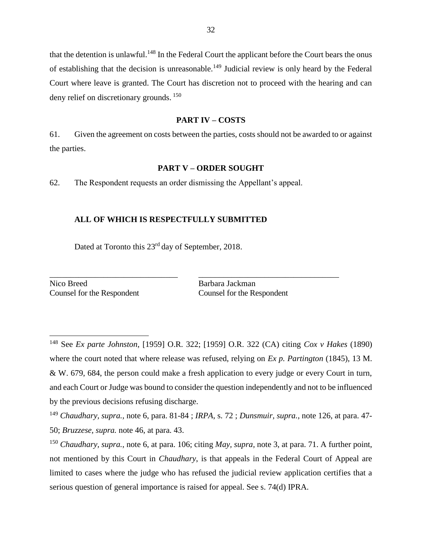that the detention is unlawful.<sup>148</sup> In the Federal Court the applicant before the Court bears the onus of establishing that the decision is unreasonable.<sup>149</sup> Judicial review is only heard by the Federal Court where leave is granted. The Court has discretion not to proceed with the hearing and can deny relief on discretionary grounds. <sup>150</sup>

#### **PART IV – COSTS**

61. Given the agreement on costs between the parties, costs should not be awarded to or against the parties.

#### **PART V – ORDER SOUGHT**

62. The Respondent requests an order dismissing the Appellant's appeal.

### **ALL OF WHICH IS RESPECTFULLY SUBMITTED**

\_\_\_\_\_\_\_\_\_\_\_\_\_\_\_\_\_\_\_\_\_\_\_\_\_\_\_\_\_\_\_ \_\_\_\_\_\_\_\_\_\_\_\_\_\_\_\_\_\_\_\_\_\_\_\_\_\_\_\_\_\_\_\_\_\_

Dated at Toronto this 23<sup>rd</sup> day of September, 2018.

Nico Breed Barbara Jackman Counsel for the Respondent Counsel for the Respondent

 $\overline{a}$ 

<sup>148</sup> See *Ex parte Johnston*, [1959] O.R. 322; [1959] O.R. 322 (CA) citing *Cox v Hakes* (1890) where the court noted that where release was refused, relying on *Ex p. Partington* (1845), 13 M. & W. 679, 684, the person could make a fresh application to every judge or every Court in turn, and each Court or Judge was bound to consider the question independently and not to be influenced by the previous decisions refusing discharge.

<sup>149</sup> *Chaudhary, supra.,* note 6, para. 81-84 ; *IRPA*, s. 72 ; *Dunsmuir, supra.,* note 126, at para. 47- 50; *Bruzzese, supra.* note 46, at para. 43.

<sup>150</sup> *Chaudhary, supra.*, note 6, at para. 106; citing *May, supra,* note 3, at para. 71. A further point, not mentioned by this Court in *Chaudhary*, is that appeals in the Federal Court of Appeal are limited to cases where the judge who has refused the judicial review application certifies that a serious question of general importance is raised for appeal. See s. 74(d) IPRA.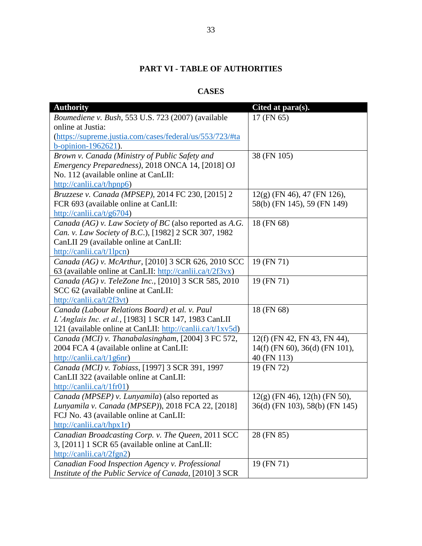# **PART VI - TABLE OF AUTHORITIES**

# **CASES**

| <b>Authority</b>                                           | Cited at para(s).                |
|------------------------------------------------------------|----------------------------------|
| Boumediene v. Bush, 553 U.S. 723 (2007) (available         | 17 (FN 65)                       |
| online at Justia:                                          |                                  |
| (https://supreme.justia.com/cases/federal/us/553/723/#ta   |                                  |
| b-opinion-1962621).                                        |                                  |
| Brown v. Canada (Ministry of Public Safety and             | 38 (FN 105)                      |
| Emergency Preparedness), 2018 ONCA 14, [2018] OJ           |                                  |
| No. 112 (available online at CanLII:                       |                                  |
| http://canlii.ca/t/hpnp6)                                  |                                  |
| Bruzzese v. Canada (MPSEP), 2014 FC 230, [2015] 2          | $12(g)$ (FN 46), 47 (FN 126),    |
| FCR 693 (available online at CanLII:                       | 58(b) (FN 145), 59 (FN 149)      |
| http://canlii.ca/t/g6704)                                  |                                  |
| Canada (AG) v. Law Society of BC (also reported as A.G.    | 18 (FN 68)                       |
| Can. v. Law Society of B.C.), [1982] 2 SCR 307, 1982       |                                  |
| CanLII 29 (available online at CanLII:                     |                                  |
| http://canlii.ca/t/1lpcn)                                  |                                  |
| Canada (AG) v. McArthur, [2010] 3 SCR 626, 2010 SCC        | 19 (FN 71)                       |
| 63 (available online at CanLII: http://canlii.ca/t/2f3vx)  |                                  |
| Canada (AG) v. TeleZone Inc., [2010] 3 SCR 585, 2010       | 19 (FN 71)                       |
| SCC 62 (available online at CanLII:                        |                                  |
| http://canlii.ca/t/2f3vt)                                  |                                  |
| Canada (Labour Relations Board) et al. v. Paul             | 18 (FN 68)                       |
| L'Anglais Inc. et al., [1983] 1 SCR 147, 1983 CanLII       |                                  |
| 121 (available online at CanLII: http://canlii.ca/t/1xv5d) |                                  |
| Canada (MCI) v. Thanabalasingham, [2004] 3 FC 572,         | 12(f) (FN 42, FN 43, FN 44),     |
| 2004 FCA 4 (available online at CanLII:                    | $14(f)$ (FN 60), 36(d) (FN 101), |
| http://canlii.ca/t/1g6nr)                                  | 40 (FN 113)                      |
| Canada (MCI) v. Tobiass, [1997] 3 SCR 391, 1997            | 19 (FN 72)                       |
| CanLII 322 (available online at CanLII:                    |                                  |
| http://canlii.ca/t/1fr01)                                  |                                  |
| Canada (MPSEP) v. Lunyamila) (also reported as             | $12(g)$ (FN 46), 12(h) (FN 50),  |
| Lunyamila v. Canada (MPSEP)), 2018 FCA 22, [2018]          | 36(d) (FN 103), 58(b) (FN 145)   |
| FCJ No. 43 (available online at CanLII:                    |                                  |
| http://canlii.ca/t/hpx1r)                                  |                                  |
| Canadian Broadcasting Corp. v. The Queen, 2011 SCC         | 28 (FN 85)                       |
| 3, [2011] 1 SCR 65 (available online at CanLII:            |                                  |
| http://canlii.ca/t/2fgn2)                                  |                                  |
| Canadian Food Inspection Agency v. Professional            | 19 (FN 71)                       |
| Institute of the Public Service of Canada, [2010] 3 SCR    |                                  |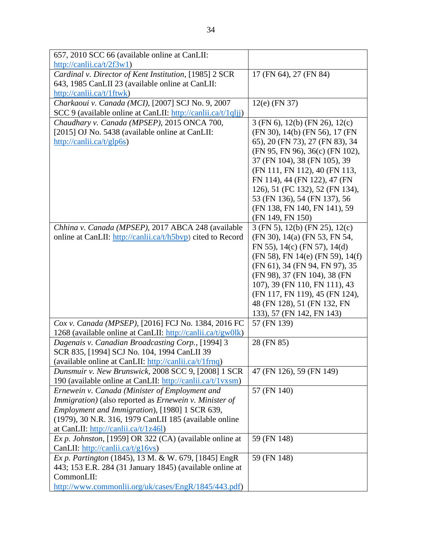| 657, 2010 SCC 66 (available online at CanLII:                                                         |                                                                 |
|-------------------------------------------------------------------------------------------------------|-----------------------------------------------------------------|
| $\frac{http://canlii.ca/t/2f3w1)}{$                                                                   |                                                                 |
| Cardinal v. Director of Kent Institution, [1985] 2 SCR                                                | 17 (FN 64), 27 (FN 84)                                          |
| 643, 1985 CanLII 23 (available online at CanLII:                                                      |                                                                 |
| http://canlii.ca/t/1ftwk)                                                                             |                                                                 |
| Charkaoui v. Canada (MCI), [2007] SCJ No. 9, 2007                                                     | $12(e)$ (FN 37)                                                 |
| SCC 9 (available online at CanLII: http://canlii.ca/t/1qljj)                                          |                                                                 |
| Chaudhary v. Canada (MPSEP), 2015 ONCA 700,                                                           | 3 (FN 6), 12(b) (FN 26), 12(c)                                  |
| [2015] OJ No. 5438 (available online at CanLII:                                                       | (FN 30), 14(b) (FN 56), 17 (FN                                  |
| http://canlii.ca/t/glp6s)                                                                             | 65), 20 (FN 73), 27 (FN 83), 34                                 |
|                                                                                                       | (FN 95, FN 96), 36(c) (FN 102),                                 |
|                                                                                                       | 37 (FN 104), 38 (FN 105), 39                                    |
|                                                                                                       | (FN 111, FN 112), 40 (FN 113,                                   |
|                                                                                                       | FN 114), 44 (FN 122), 47 (FN<br>126), 51 (FC 132), 52 (FN 134), |
|                                                                                                       | 53 (FN 136), 54 (FN 137), 56                                    |
|                                                                                                       | (FN 138, FN 140, FN 141), 59                                    |
|                                                                                                       | (FN 149, FN 150)                                                |
| Chhina v. Canada (MPSEP), 2017 ABCA 248 (available                                                    | $3$ (FN 5), 12(b) (FN 25), 12(c)                                |
| online at CanLII: http://canlii.ca/t/h5bvp) cited to Record                                           | (FN 30), 14(a) (FN 53, FN 54,                                   |
|                                                                                                       | FN 55), $14(c)$ (FN 57), $14(d)$                                |
|                                                                                                       | (FN 58), FN 14(e) (FN 59), 14(f)                                |
|                                                                                                       | (FN 61), 34 (FN 94, FN 97), 35                                  |
|                                                                                                       | (FN 98), 37 (FN 104), 38 (FN                                    |
|                                                                                                       | 107), 39 (FN 110, FN 111), 43                                   |
|                                                                                                       | (FN 117, FN 119), 45 (FN 124),                                  |
|                                                                                                       | 48 (FN 128), 51 (FN 132, FN                                     |
|                                                                                                       | 133), 57 (FN 142, FN 143)                                       |
| Cox v. Canada (MPSEP), [2016] FCJ No. 1384, 2016 FC                                                   | 57 (FN 139)                                                     |
| 1268 (available online at CanLII: http://canlii.ca/t/gw0lk)                                           |                                                                 |
| Dagenais v. Canadian Broadcasting Corp., [1994] 3                                                     | 28 (FN 85)                                                      |
| SCR 835, [1994] SCJ No. 104, 1994 CanLII 39<br>(available online at CanLII: http://canlii.ca/t/1frnq) |                                                                 |
| Dunsmuir v. New Brunswick, 2008 SCC 9, [2008] 1 SCR                                                   | 47 (FN 126), 59 (FN 149)                                        |
| 190 (available online at CanLII: http://canlii.ca/t/1vxsm)                                            |                                                                 |
| Ernewein v. Canada (Minister of Employment and                                                        | 57 (FN 140)                                                     |
| Immigration) (also reported as Ernewein v. Minister of                                                |                                                                 |
| Employment and Immigration), [1980] 1 SCR 639,                                                        |                                                                 |
| (1979), 30 N.R. 316, 1979 CanLII 185 (available online                                                |                                                                 |
| at CanLII: http://canlii.ca/t/1z46l)                                                                  |                                                                 |
| Ex p. Johnston, [1959] OR 322 (CA) (available online at                                               | 59 (FN 148)                                                     |
| CanLII: http://canlii.ca/t/g16vs)                                                                     |                                                                 |
| Ex p. Partington (1845), 13 M. & W. 679, [1845] EngR                                                  | 59 (FN 148)                                                     |
| 443; 153 E.R. 284 (31 January 1845) (available online at                                              |                                                                 |
| CommonLII:                                                                                            |                                                                 |
| http://www.commonlii.org/uk/cases/EngR/1845/443.pdf)                                                  |                                                                 |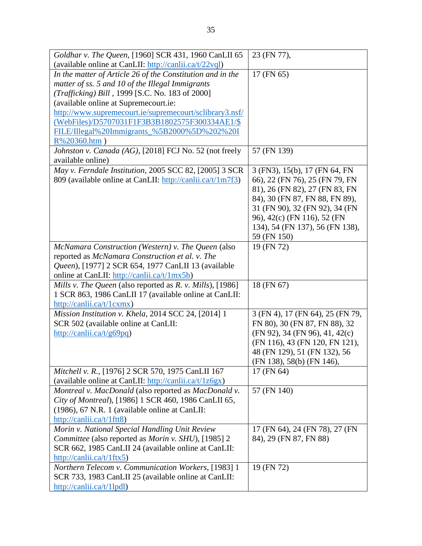| Goldhar v. The Queen, [1960] SCR 431, 1960 CanLII 65              | 23 (FN 77),                          |
|-------------------------------------------------------------------|--------------------------------------|
| (available online at CanLII: http://canlii.ca/t/22vql)            |                                      |
| In the matter of Article 26 of the Constitution and in the        | 17 (FN 65)                           |
| matter of ss. 5 and 10 of the Illegal Immigrants                  |                                      |
| (Trafficking) Bill, 1999 [S.C. No. 183 of 2000]                   |                                      |
| (available online at Supremecourt.ie:                             |                                      |
| http://www.supremecourt.ie/supremecourt/sclibrary3.nsf/           |                                      |
| (WebFiles)/D5707031F1F3B3B1802575F300334AE1/\$                    |                                      |
| FILE/Illegal%20Immigrants_%5B2000%5D%202%20I                      |                                      |
| $R\%20360.htm$ )                                                  |                                      |
| Johnston v. Canada (AG), [2018] FCJ No. 52 (not freely            | 57 (FN 139)                          |
| available online)                                                 |                                      |
| May v. Ferndale Institution, 2005 SCC 82, [2005] 3 SCR            | 3 (FN3), 15(b), 17 (FN 64, FN        |
| 809 (available online at CanLII: http://canlii.ca/t/1m7f3)        | 66), 22 (FN 76), 25 (FN 79, FN       |
|                                                                   | 81), 26 (FN 82), 27 (FN 83, FN       |
|                                                                   | 84), 30 (FN 87, FN 88, FN 89),       |
|                                                                   | 31 (FN 90), 32 (FN 92), 34 (FN       |
|                                                                   | 96), 42(c) (FN 116), 52 (FN          |
|                                                                   | 134), 54 (FN 137), 56 (FN 138),      |
|                                                                   | 59 (FN 150)                          |
| McNamara Construction (Western) v. The Queen (also                | 19 (FN 72)                           |
| reported as McNamara Construction et al. v. The                   |                                      |
| Queen), [1977] 2 SCR 654, 1977 CanLII 13 (available               |                                      |
| online at CanLII: http://canlii.ca/t/1mx5h)                       |                                      |
|                                                                   | 18 (FN 67)                           |
| Mills v. The Queen (also reported as R. v. Mills), [1986]         |                                      |
| 1 SCR 863, 1986 CanLII 17 (available online at CanLII:            |                                      |
| http://canlii.ca/t/1cxmx)                                         |                                      |
| Mission Institution v. Khela, 2014 SCC 24, [2014] 1               | 3 (FN 4), 17 (FN 64), 25 (FN 79,     |
| SCR 502 (available online at CanLII:                              | FN 80), 30 (FN 87, FN 88), 32        |
| http://canlii.ca/t/g69pq)                                         | $(FN 92)$ , 34 $(FN 96)$ , 41, 42(c) |
|                                                                   | (FN 116), 43 (FN 120, FN 121),       |
|                                                                   | 48 (FN 129), 51 (FN 132), 56         |
|                                                                   | (FN 138), 58(b) (FN 146),            |
| Mitchell v. R., [1976] 2 SCR 570, 1975 CanLII 167                 | 17 (FN 64)                           |
| (available online at CanLII: $\frac{http://canlii.ca/t/1z6gx)}{}$ |                                      |
| Montreal v. MacDonald (also reported as MacDonald v.              | 57 (FN 140)                          |
| City of Montreal), [1986] 1 SCR 460, 1986 CanLII 65,              |                                      |
| (1986), 67 N.R. 1 (available online at CanLII:                    |                                      |
| http://canlii.ca/t/1ftt8)                                         |                                      |
| Morin v. National Special Handling Unit Review                    | 17 (FN 64), 24 (FN 78), 27 (FN       |
| Committee (also reported as Morin v. SHU), [1985] 2               | 84), 29 (FN 87, FN 88)               |
| SCR 662, 1985 CanLII 24 (available online at CanLII:              |                                      |
| http://canlii.ca/t/1ftx5)                                         |                                      |
| <b>Northern Telecom v. Communication Workers, [1983] 1</b>        | 19 (FN 72)                           |
| SCR 733, 1983 CanLII 25 (available online at CanLII:              |                                      |
| http://canlii.ca/t/1lpdl)                                         |                                      |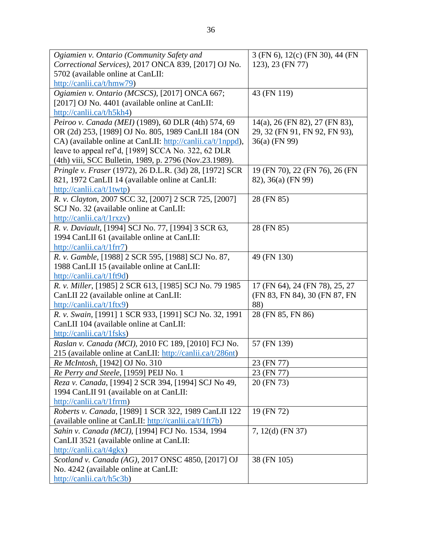| Ogiamien v. Ontario (Community Safety and                                                    | 3 (FN 6), 12(c) (FN 30), 44 (FN |
|----------------------------------------------------------------------------------------------|---------------------------------|
| Correctional Services), 2017 ONCA 839, [2017] OJ No.                                         | 123), 23 (FN 77)                |
| 5702 (available online at CanLII:                                                            |                                 |
| http://canlii.ca/t/hmw79)                                                                    |                                 |
| Ogiamien v. Ontario (MCSCS), [2017] ONCA 667;                                                | 43 (FN 119)                     |
| [2017] OJ No. 4401 (available online at CanLII:                                              |                                 |
| http://canlii.ca/t/h5kh4)                                                                    |                                 |
| Peiroo v. Canada (MEI) (1989), 60 DLR (4th) 574, 69                                          | 14(a), 26 (FN 82), 27 (FN 83),  |
| OR (2d) 253, [1989] OJ No. 805, 1989 CanLII 184 (ON                                          | 29, 32 (FN 91, FN 92, FN 93),   |
| CA) (available online at CanLII: http://canlii.ca/t/1nppd),                                  | 36(a) (FN 99)                   |
| leave to appeal ref'd, [1989] SCCA No. 322, 62 DLR                                           |                                 |
| (4th) viii, SCC Bulletin, 1989, p. 2796 (Nov.23.1989).                                       |                                 |
| Pringle v. Fraser (1972), 26 D.L.R. (3d) 28, [1972] SCR                                      | 19 (FN 70), 22 (FN 76), 26 (FN  |
| 821, 1972 CanLII 14 (available online at CanLII:                                             | 82), 36(a) (FN 99)              |
| $\frac{http://canlii.ca/t/1twtp)}{}$<br>R. v. Clayton, 2007 SCC 32, [2007] 2 SCR 725, [2007] | 28 (FN 85)                      |
| SCJ No. 32 (available online at CanLII:                                                      |                                 |
| http://canlii.ca/t/1rxzv)                                                                    |                                 |
| R. v. Daviault, [1994] SCJ No. 77, [1994] 3 SCR 63,                                          | 28 (FN 85)                      |
| 1994 CanLII 61 (available online at CanLII:                                                  |                                 |
| http://canlii.ca/t/1frr7)                                                                    |                                 |
| R. v. Gamble, [1988] 2 SCR 595, [1988] SCJ No. 87,                                           | 49 (FN 130)                     |
| 1988 CanLII 15 (available online at CanLII:                                                  |                                 |
| http://canlii.ca/t/1ft9d)                                                                    |                                 |
| R. v. Miller, [1985] 2 SCR 613, [1985] SCJ No. 79 1985                                       | 17 (FN 64), 24 (FN 78), 25, 27  |
| CanLII 22 (available online at CanLII:                                                       | (FN 83, FN 84), 30 (FN 87, FN   |
| http://canlii.ca/t/1ftx9)                                                                    | 88)                             |
| R. v. Swain, [1991] 1 SCR 933, [1991] SCJ No. 32, 1991                                       | 28 (FN 85, FN 86)               |
| CanLII 104 (available online at CanLII:                                                      |                                 |
| http://canlii.ca/t/1fsks)                                                                    |                                 |
| Raslan v. Canada (MCI), 2010 FC 189, [2010] FCJ No.                                          | 57 (FN 139)                     |
| 215 (available online at CanLII: http://canlii.ca/t/286nt)                                   |                                 |
| Re McIntosh, [1942] OJ No. 310                                                               | 23 (FN 77)                      |
| Re Perry and Steele, [1959] PEIJ No. 1                                                       | 23 (FN 77)                      |
| Reza v. Canada, [1994] 2 SCR 394, [1994] SCJ No 49,                                          | 20 (FN 73)                      |
| 1994 CanLII 91 (available on at CanLII:                                                      |                                 |
| http://canlii.ca/t/1frrm)                                                                    |                                 |
| Roberts v. Canada, [1989] 1 SCR 322, 1989 CanLII 122                                         | 19 (FN 72)                      |
| (available online at CanLII: http://canlii.ca/t/1ft7b)                                       |                                 |
| Sahin v. Canada (MCI), [1994] FCJ No. 1534, 1994                                             | 7, 12(d) (FN 37)                |
| CanLII 3521 (available online at CanLII:                                                     |                                 |
| http://canlii.ca/t/4gkx)                                                                     |                                 |
| Scotland v. Canada (AG), 2017 ONSC 4850, [2017] OJ                                           | 38 (FN 105)                     |
| No. 4242 (available online at CanLII:                                                        |                                 |
| http://canlii.ca/t/h5c3b)                                                                    |                                 |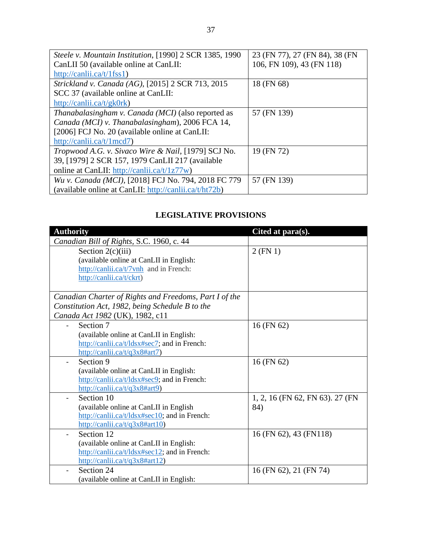| Steele v. Mountain Institution, [1990] 2 SCR 1385, 1990           | 23 (FN 77), 27 (FN 84), 38 (FN |
|-------------------------------------------------------------------|--------------------------------|
| CanLII 50 (available online at CanLII:                            | 106, FN 109), 43 (FN 118)      |
| http://canlii.ca/t/1fss1)                                         |                                |
| Strickland v. Canada (AG), [2015] 2 SCR 713, 2015                 | 18 (FN 68)                     |
| SCC 37 (available online at CanLII:                               |                                |
| http://canlii.ca/t/gk0rk)                                         |                                |
| Thanabalasingham v. Canada (MCI) (also reported as                | 57 (FN 139)                    |
| Canada (MCI) v. Thanabalasingham), 2006 FCA 14,                   |                                |
| [2006] FCJ No. 20 (available online at CanLII:                    |                                |
| http://canlii.ca/t/1mcd7)                                         |                                |
| Tropwood A.G. v. Sivaco Wire & Nail, [1979] SCJ No.               | 19 (FN 72)                     |
| 39, [1979] 2 SCR 157, 1979 CanLII 217 (available                  |                                |
| online at CanLII: http://canlii.ca/t/1z77w)                       |                                |
| Wu v. Canada (MCI), [2018] FCJ No. 794, 2018 FC 779               | 57 (FN 139)                    |
| (available online at CanLII: $\frac{http://canlii.ca/t/ht72b)}{}$ |                                |

# **LEGISLATIVE PROVISIONS**

| <b>Authority</b>                                                        | Cited at para(s).               |
|-------------------------------------------------------------------------|---------------------------------|
| Canadian Bill of Rights, S.C. 1960, c. 44                               |                                 |
| Section $2(c)(iii)$                                                     | $2$ (FN 1)                      |
| (available online at CanLII in English:                                 |                                 |
| http://canlii.ca/t/7vnh and in French:                                  |                                 |
| http://canlii.ca/t/ckrt)                                                |                                 |
|                                                                         |                                 |
| Canadian Charter of Rights and Freedoms, Part I of the                  |                                 |
| Constitution Act, 1982, being Schedule B to the                         |                                 |
| Canada Act 1982 (UK), 1982, c11                                         |                                 |
| Section 7                                                               | 16 (FN 62)                      |
| (available online at CanLII in English:                                 |                                 |
| http://canlii.ca/t/ldsx#sec7; and in French:                            |                                 |
| http://canlii.ca/t/q3x8#art7)                                           |                                 |
| Section 9                                                               | 16 (FN 62)                      |
| (available online at CanLII in English:                                 |                                 |
| http://canlii.ca/t/ldsx#sec9; and in French:                            |                                 |
| $\frac{http://canlii.ca/t/q3x8\#art9)}{http://canlii.ca/t/q3x8\#art9)}$ |                                 |
| Section 10                                                              | 1, 2, 16 (FN 62, FN 63). 27 (FN |
| (available online at CanLII in English                                  | 84)                             |
| http://canlii.ca/t/ldsx#sec10; and in French:                           |                                 |
| http://canlii.ca/t/q3x8#art10)                                          |                                 |
| Section 12                                                              | 16 (FN 62), 43 (FN118)          |
| (available online at CanLII in English:                                 |                                 |
| http://canlii.ca/t/ldsx#sec12; and in French:                           |                                 |
| http://canlii.ca/t/q3x8#art12)                                          |                                 |
| Section 24                                                              | 16 (FN 62), 21 (FN 74)          |
| (available online at CanLII in English:                                 |                                 |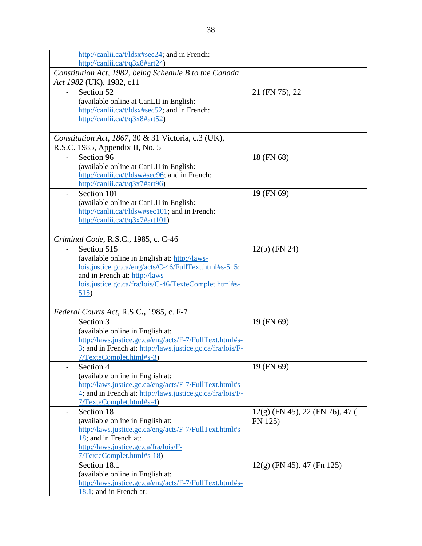| http://canlii.ca/t/ldsx#sec24; and in French:              |                                   |
|------------------------------------------------------------|-----------------------------------|
| http://canlii.ca/t/q3x8#art24)                             |                                   |
| Constitution Act, 1982, being Schedule B to the Canada     |                                   |
| Act 1982 (UK), 1982, c11                                   |                                   |
| Section 52                                                 | 21 (FN 75), 22                    |
| (available online at CanLII in English:                    |                                   |
| http://canlii.ca/t/ldsx#sec52; and in French:              |                                   |
| http://canlii.ca/t/q3x8#art52)                             |                                   |
|                                                            |                                   |
| Constitution Act, 1867, 30 & 31 Victoria, c.3 (UK),        |                                   |
| R.S.C. 1985, Appendix II, No. 5                            |                                   |
| Section 96                                                 | 18 (FN 68)                        |
| (available online at CanLII in English:                    |                                   |
| http://canlii.ca/t/ldsw#sec96; and in French:              |                                   |
| http://canlii.ca/t/q3x7#art96)                             |                                   |
| Section 101                                                | 19 (FN 69)                        |
| (available online at CanLII in English:                    |                                   |
| http://canlii.ca/t/ldsw#sec101; and in French:             |                                   |
| http://canlii.ca/t/q3x7#art101)                            |                                   |
|                                                            |                                   |
| Criminal Code, R.S.C., 1985, c. C-46                       |                                   |
| Section 515                                                | $12(b)$ (FN 24)                   |
| (available online in English at: http://laws-              |                                   |
| lois.justice.gc.ca/eng/acts/C-46/FullText.html#s-515;      |                                   |
| and in French at: http://laws-                             |                                   |
| lois.justice.gc.ca/fra/lois/C-46/TexteComplet.html#s-      |                                   |
| 515)                                                       |                                   |
|                                                            |                                   |
| Federal Courts Act, R.S.C., 1985, c. F-7                   |                                   |
| Section 3                                                  | 19 (FN 69)                        |
| (available online in English at:                           |                                   |
| http://laws.justice.gc.ca/eng/acts/F-7/FullText.html#s-    |                                   |
| 3; and in French at: http://laws.justice.gc.ca/fra/lois/F- |                                   |
| $7/T$ exte $Complet.html#s-3$                              |                                   |
| Section 4                                                  | 19 (FN 69)                        |
| (available online in English at:                           |                                   |
| http://laws.justice.gc.ca/eng/acts/F-7/FullText.html#s-    |                                   |
| 4; and in French at: http://laws.justice.gc.ca/fra/lois/F- |                                   |
| 7/TexteComplet.html#s-4)                                   |                                   |
| Section 18                                                 | $12(g)$ (FN 45), 22 (FN 76), 47 ( |
| (available online in English at:                           | FN 125)                           |
| http://laws.justice.gc.ca/eng/acts/F-7/FullText.html#s-    |                                   |
| 18; and in French at:                                      |                                   |
| http://laws.justice.gc.ca/fra/lois/F-                      |                                   |
| 7/TexteComplet.html#s-18)                                  |                                   |
| Section 18.1                                               | $12(g)$ (FN 45). 47 (Fn 125)      |
| (available online in English at:                           |                                   |
| http://laws.justice.gc.ca/eng/acts/F-7/FullText.html#s-    |                                   |
| 18.1; and in French at:                                    |                                   |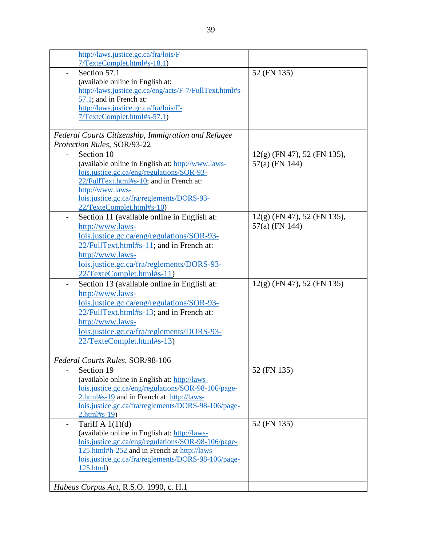| http://laws.justice.gc.ca/fra/lois/F-                   |                               |
|---------------------------------------------------------|-------------------------------|
| 7/TexteComplet.html#s-18.1)                             |                               |
| Section 57.1                                            | 52 (FN 135)                   |
| (available online in English at:                        |                               |
| http://laws.justice.gc.ca/eng/acts/F-7/FullText.html#s- |                               |
| $57.1$ ; and in French at:                              |                               |
| http://laws.justice.gc.ca/fra/lois/F-                   |                               |
| 7/TexteComplet.html#s-57.1)                             |                               |
|                                                         |                               |
| Federal Courts Citizenship, Immigration and Refugee     |                               |
| Protection Rules, SOR/93-22                             |                               |
| Section 10                                              | $12(g)$ (FN 47), 52 (FN 135), |
| (available online in English at: http://www.laws-       | 57(a) (FN 144)                |
| lois.justice.gc.ca/eng/regulations/SOR-93-              |                               |
| 22/FullText.html#s-10; and in French at:                |                               |
| http://www.laws-                                        |                               |
| lois.justice.gc.ca/fra/reglements/DORS-93-              |                               |
| 22/TexteComplet.html#s-10)                              |                               |
| Section 11 (available online in English at:             | 12(g) (FN 47), 52 (FN 135),   |
| http://www.laws-                                        | 57(a) (FN 144)                |
| lois.justice.gc.ca/eng/regulations/SOR-93-              |                               |
| 22/FullText.html#s-11; and in French at:                |                               |
|                                                         |                               |
| http://www.laws-                                        |                               |
| lois.justice.gc.ca/fra/reglements/DORS-93-              |                               |
| 22/TexteComplet.html#s-11)                              |                               |
| Section 13 (available online in English at:             | $12(g)$ (FN 47), 52 (FN 135)  |
| http://www.laws-                                        |                               |
| lois.justice.gc.ca/eng/regulations/SOR-93-              |                               |
| 22/FullText.html#s-13; and in French at:                |                               |
| http://www.laws-                                        |                               |
| lois.justice.gc.ca/fra/reglements/DORS-93-              |                               |
| 22/TexteComplet.html#s-13)                              |                               |
|                                                         |                               |
| Federal Courts Rules, SOR/98-106                        |                               |
| Section 19                                              | 52 (FN 135)                   |
| (available online in English at: http://laws-           |                               |
| lois.justice.gc.ca/eng/regulations/SOR-98-106/page-     |                               |
| 2.html#s-19 and in French at: http://laws-              |                               |
| lois.justice.gc.ca/fra/reglements/DORS-98-106/page-     |                               |
| $2.html$ #s-19)                                         |                               |
| Tariff A $1(1)(d)$<br>$\overline{\phantom{a}}$          | 52 (FN 135)                   |
| (available online in English at: http://laws-           |                               |
| lois.justice.gc.ca/eng/regulations/SOR-98-106/page-     |                               |
| 125.html#h-252 and in French at http://laws-            |                               |
| lois.justice.gc.ca/fra/reglements/DORS-98-106/page-     |                               |
| 125.html                                                |                               |
|                                                         |                               |
| Habeas Corpus Act, R.S.O. 1990, c. H.1                  |                               |
|                                                         |                               |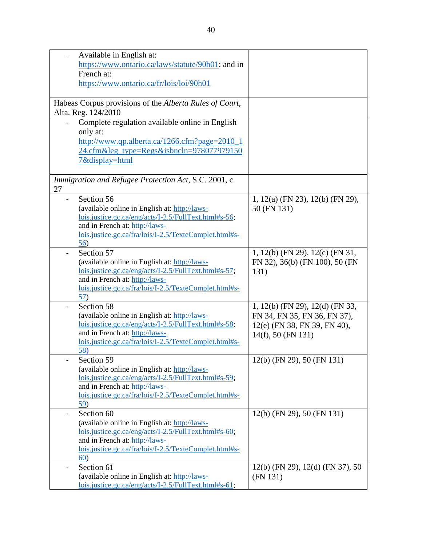| ÷, | Available in English at:                                |                                      |
|----|---------------------------------------------------------|--------------------------------------|
|    | https://www.ontario.ca/laws/statute/90h01; and in       |                                      |
|    | French at:                                              |                                      |
|    | https://www.ontario.ca/fr/lois/loi/90h01                |                                      |
|    |                                                         |                                      |
|    | Habeas Corpus provisions of the Alberta Rules of Court, |                                      |
|    |                                                         |                                      |
|    | Alta. Reg. 124/2010                                     |                                      |
|    | Complete regulation available online in English         |                                      |
|    | only at:                                                |                                      |
|    | http://www.qp.alberta.ca/1266.cfm?page=2010_1           |                                      |
|    | 24.cfm⋚_type=Regs&isbncln=978077979150                  |                                      |
|    | 7&display=html                                          |                                      |
|    |                                                         |                                      |
|    | Immigration and Refugee Protection Act, S.C. 2001, c.   |                                      |
| 27 |                                                         |                                      |
|    | Section 56                                              | 1, 12(a) (FN 23), 12(b) (FN 29),     |
|    | (available online in English at: http://laws-           | 50 (FN 131)                          |
|    | lois.justice.gc.ca/eng/acts/I-2.5/FullText.html#s-56;   |                                      |
|    | and in French at: http://laws-                          |                                      |
|    | lois.justice.gc.ca/fra/lois/I-2.5/TexteComplet.html#s-  |                                      |
|    | 56)                                                     |                                      |
|    | Section 57                                              | 1, 12(b) (FN 29), 12(c) (FN 31,      |
|    | (available online in English at: http://laws-           | FN 32), 36(b) (FN 100), 50 (FN       |
|    | lois.justice.gc.ca/eng/acts/I-2.5/FullText.html#s-57;   | 131)                                 |
|    | and in French at: http://laws-                          |                                      |
|    | lois.justice.gc.ca/fra/lois/I-2.5/TexteComplet.html#s-  |                                      |
|    | 5/2)                                                    |                                      |
|    | Section 58                                              | 1, 12(b) (FN 29), 12(d) (FN 33,      |
|    | (available online in English at: http://laws-           | FN 34, FN 35, FN 36, FN 37),         |
|    | lois.justice.gc.ca/eng/acts/I-2.5/FullText.html#s-58;   | 12(e) (FN 38, FN 39, FN 40),         |
|    | and in French at: http://laws-                          | 14(f), 50 (FN 131)                   |
|    | lois.justice.gc.ca/fra/lois/I-2.5/TexteComplet.html#s-  |                                      |
|    | 58)                                                     |                                      |
|    | Section 59                                              | 12(b) (FN 29), 50 (FN 131)           |
|    | (available online in English at: http://laws-           |                                      |
|    | lois.justice.gc.ca/eng/acts/I-2.5/FullText.html#s-59;   |                                      |
|    | and in French at: http://laws-                          |                                      |
|    | lois.justice.gc.ca/fra/lois/I-2.5/TexteComplet.html#s-  |                                      |
|    | 59)                                                     |                                      |
|    | Section 60                                              | $12(b)$ (FN 29), 50 (FN 131)         |
|    | (available online in English at: http://laws-           |                                      |
|    | lois.justice.gc.ca/eng/acts/I-2.5/FullText.html#s-60;   |                                      |
|    | and in French at: http://laws-                          |                                      |
|    | lois.justice.gc.ca/fra/lois/I-2.5/TexteComplet.html#s-  |                                      |
|    | 60)                                                     |                                      |
|    | Section 61                                              | $12(b)$ (FN 29), $12(d)$ (FN 37), 50 |
|    | (available online in English at: http://laws-           | (FN 131)                             |
|    | lois.justice.gc.ca/eng/acts/I-2.5/FullText.html#s-61;   |                                      |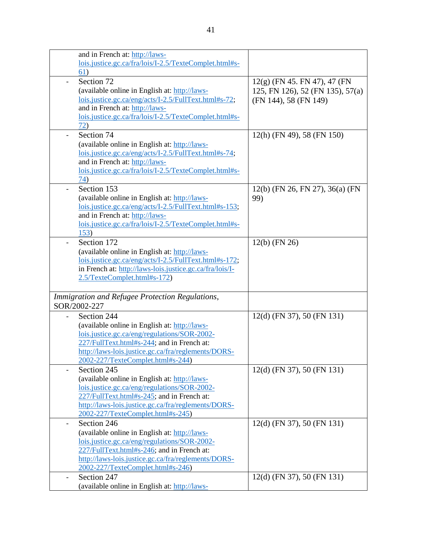|                | and in French at: http://laws-                           |                                  |
|----------------|----------------------------------------------------------|----------------------------------|
|                | lois.justice.gc.ca/fra/lois/I-2.5/TexteComplet.html#s-   |                                  |
|                | 61)                                                      |                                  |
| $\blacksquare$ | Section 72                                               | $12(g)$ (FN 45. FN 47), 47 (FN   |
|                | (available online in English at: http://laws-            | 125, FN 126), 52 (FN 135), 57(a) |
|                | lois.justice.gc.ca/eng/acts/I-2.5/FullText.html#s-72;    | (FN 144), 58 (FN 149)            |
|                | and in French at: http://laws-                           |                                  |
|                | lois.justice.gc.ca/fra/lois/I-2.5/TexteComplet.html#s-   |                                  |
|                | 72)                                                      |                                  |
|                | Section 74                                               | 12(h) (FN 49), 58 (FN 150)       |
|                | (available online in English at: http://laws-            |                                  |
|                | lois.justice.gc.ca/eng/acts/I-2.5/FullText.html#s-74;    |                                  |
|                | and in French at: http://laws-                           |                                  |
|                | lois.justice.gc.ca/fra/lois/I-2.5/TexteComplet.html#s-   |                                  |
|                | 74)                                                      |                                  |
|                | Section 153                                              | 12(b) (FN 26, FN 27), 36(a) (FN  |
|                | (available online in English at: http://laws-            | 99)                              |
|                | lois.justice.gc.ca/eng/acts/I-2.5/FullText.html#s-153;   |                                  |
|                | and in French at: http://laws-                           |                                  |
|                | lois.justice.gc.ca/fra/lois/I-2.5/TexteComplet.html#s-   |                                  |
|                | 153)                                                     |                                  |
|                | Section 172                                              | $12(b)$ (FN 26)                  |
|                | (available online in English at: http://laws-            |                                  |
|                | lois.justice.gc.ca/eng/acts/I-2.5/FullText.html#s-172;   |                                  |
|                | in French at: http://laws-lois.justice.gc.ca/fra/lois/I- |                                  |
|                | 2.5/TexteComplet.html#s-172)                             |                                  |
|                |                                                          |                                  |
|                |                                                          |                                  |
|                | Immigration and Refugee Protection Regulations,          |                                  |
|                | SOR/2002-227                                             |                                  |
|                | Section 244                                              | 12(d) (FN 37), 50 (FN 131)       |
|                | (available online in English at: http://laws-            |                                  |
|                | lois.justice.gc.ca/eng/regulations/SOR-2002-             |                                  |
|                | 227/FullText.html#s-244; and in French at:               |                                  |
|                | http://laws-lois.justice.gc.ca/fra/reglements/DORS-      |                                  |
|                | 2002-227/TexteComplet.html#s-244)                        |                                  |
|                | Section 245                                              | $12(d)$ (FN 37), 50 (FN 131)     |
|                | (available online in English at: http://laws-            |                                  |
|                | lois.justice.gc.ca/eng/regulations/SOR-2002-             |                                  |
|                | 227/FullText.html#s-245; and in French at:               |                                  |
|                | http://laws-lois.justice.gc.ca/fra/reglements/DORS-      |                                  |
|                | 2002-227/TexteComplet.html#s-245)                        |                                  |
| -              | Section 246                                              | $12(d)$ (FN 37), 50 (FN 131)     |
|                | (available online in English at: http://laws-            |                                  |
|                | lois.justice.gc.ca/eng/regulations/SOR-2002-             |                                  |
|                | 227/FullText.html#s-246; and in French at:               |                                  |
|                | http://laws-lois.justice.gc.ca/fra/reglements/DORS-      |                                  |
|                | 2002-227/TexteComplet.html#s-246)                        |                                  |
|                | Section 247                                              | $12(d)$ (FN 37), 50 (FN 131)     |
|                | (available online in English at: http://laws-            |                                  |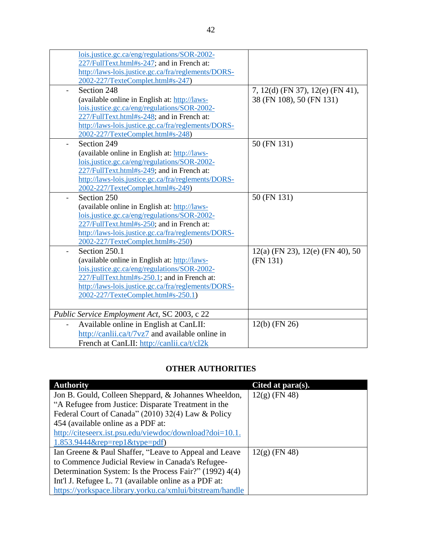| lois.justice.gc.ca/eng/regulations/SOR-2002-        |                                      |
|-----------------------------------------------------|--------------------------------------|
| 227/FullText.html#s-247; and in French at:          |                                      |
| http://laws-lois.justice.gc.ca/fra/reglements/DORS- |                                      |
| 2002-227/TexteComplet.html#s-247)                   |                                      |
| Section 248<br>$\blacksquare$                       | 7, 12(d) (FN 37), 12(e) (FN 41),     |
| (available online in English at: http://laws-       | 38 (FN 108), 50 (FN 131)             |
| lois.justice.gc.ca/eng/regulations/SOR-2002-        |                                      |
| 227/FullText.html#s-248; and in French at:          |                                      |
| http://laws-lois.justice.gc.ca/fra/reglements/DORS- |                                      |
| 2002-227/TexteComplet.html#s-248)                   |                                      |
| Section 249                                         | 50 (FN 131)                          |
| (available online in English at: http://laws-       |                                      |
| lois.justice.gc.ca/eng/regulations/SOR-2002-        |                                      |
| 227/FullText.html#s-249; and in French at:          |                                      |
| http://laws-lois.justice.gc.ca/fra/reglements/DORS- |                                      |
| 2002-227/TexteComplet.html#s-249)                   |                                      |
| Section 250                                         | 50 (FN 131)                          |
| (available online in English at: http://laws-       |                                      |
| lois.justice.gc.ca/eng/regulations/SOR-2002-        |                                      |
| 227/FullText.html#s-250; and in French at:          |                                      |
| http://laws-lois.justice.gc.ca/fra/reglements/DORS- |                                      |
| 2002-227/TexteComplet.html#s-250)                   |                                      |
| Section 250.1                                       | $12(a)$ (FN 23), $12(e)$ (FN 40), 50 |
| (available online in English at: http://laws-       | (FN 131)                             |
| lois.justice.gc.ca/eng/regulations/SOR-2002-        |                                      |
| 227/FullText.html#s-250.1; and in French at:        |                                      |
| http://laws-lois.justice.gc.ca/fra/reglements/DORS- |                                      |
| 2002-227/TexteComplet.html#s-250.1)                 |                                      |
|                                                     |                                      |
| Public Service Employment Act, SC 2003, c 22        |                                      |
| Available online in English at CanLII:              | $12(b)$ (FN 26)                      |
| http://canlii.ca/t/7vz7 and available online in     |                                      |
| French at CanLII: http://canlii.ca/t/cl2k           |                                      |

# **OTHER AUTHORITIES**

| <b>Authority</b>                                          | Cited at $para(s)$ . |
|-----------------------------------------------------------|----------------------|
| Jon B. Gould, Colleen Sheppard, & Johannes Wheeldon,      | $12(g)$ (FN 48)      |
| "A Refugee from Justice: Disparate Treatment in the       |                      |
| Federal Court of Canada" (2010) 32(4) Law & Policy        |                      |
| 454 (available online as a PDF at:                        |                      |
| http://citeseerx.ist.psu.edu/viewdoc/download?doi=10.1.   |                      |
| $1.853.9444$ &rep=rep1&type=pdf)                          |                      |
| Ian Greene & Paul Shaffer, "Leave to Appeal and Leave     | $12(g)$ (FN 48)      |
| to Commence Judicial Review in Canada's Refugee-          |                      |
| Determination System: Is the Process Fair?" (1992) 4(4)   |                      |
| Int'l J. Refugee L. 71 (available online as a PDF at:     |                      |
| https://yorkspace.library.yorku.ca/xmlui/bitstream/handle |                      |